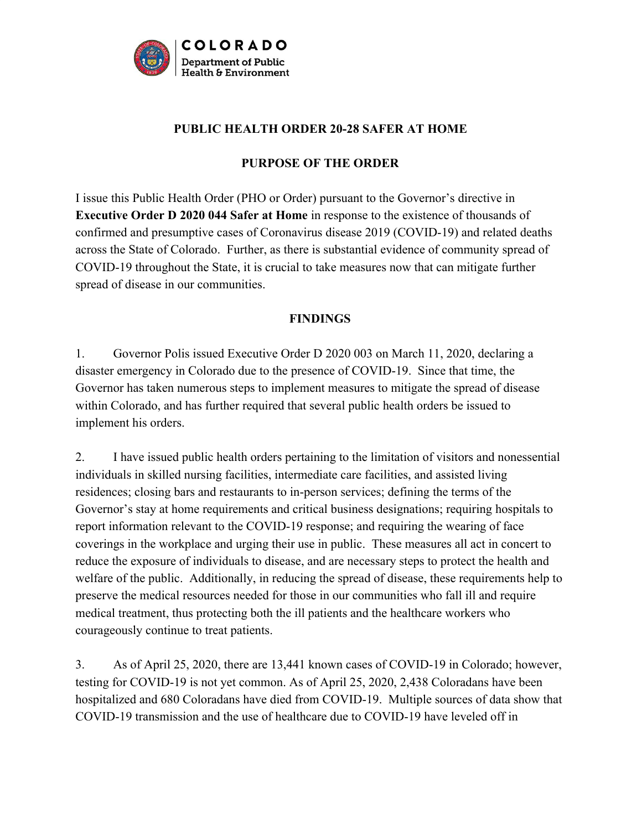

#### **PUBLIC HEALTH ORDER 20-28 SAFER AT HOME**

#### **PURPOSE OF THE ORDER**

I issue this Public Health Order (PHO or Order) pursuant to the Governor's directive in **Executive Order D 2020 044 Safer at Home** in response to the existence of thousands of confirmed and presumptive cases of Coronavirus disease 2019 (COVID-19) and related deaths across the State of Colorado. Further, as there is substantial evidence of community spread of COVID-19 throughout the State, it is crucial to take measures now that can mitigate further spread of disease in our communities.

#### **FINDINGS**

1. Governor Polis issued Executive Order D 2020 003 on March 11, 2020, declaring a disaster emergency in Colorado due to the presence of COVID-19. Since that time, the Governor has taken numerous steps to implement measures to mitigate the spread of disease within Colorado, and has further required that several public health orders be issued to implement his orders.

2. I have issued public health orders pertaining to the limitation of visitors and nonessential individuals in skilled nursing facilities, intermediate care facilities, and assisted living residences; closing bars and restaurants to in-person services; defining the terms of the Governor's stay at home requirements and critical business designations; requiring hospitals to report information relevant to the COVID-19 response; and requiring the wearing of face coverings in the workplace and urging their use in public. These measures all act in concert to reduce the exposure of individuals to disease, and are necessary steps to protect the health and welfare of the public. Additionally, in reducing the spread of disease, these requirements help to preserve the medical resources needed for those in our communities who fall ill and require medical treatment, thus protecting both the ill patients and the healthcare workers who courageously continue to treat patients.

3. As of April 25, 2020, there are 13,441 known cases of COVID-19 in Colorado; however, testing for COVID-19 is not yet common. As of April 25, 2020, 2,438 Coloradans have been hospitalized and 680 Coloradans have died from COVID-19. Multiple sources of data show that COVID-19 transmission and the use of healthcare due to COVID-19 have leveled off in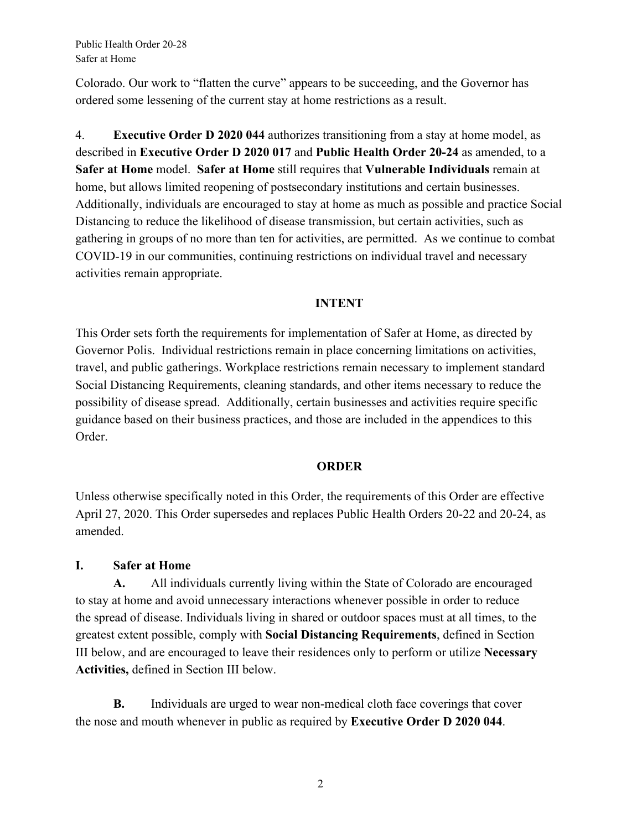Public Health Order 20-28 Safer at Home

Colorado. Our work to "flatten the curve" appears to be succeeding, and the Governor has ordered some lessening of the current stay at home restrictions as a result.

4. **Executive Order D 2020 044** authorizes transitioning from a stay at home model, as described in **Executive Order D 2020 017** and **Public Health Order 20-24** as amended, to a **Safer at Home** model. **Safer at Home** still requires that **Vulnerable Individuals** remain at home, but allows limited reopening of postsecondary institutions and certain businesses. Additionally, individuals are encouraged to stay at home as much as possible and practice Social Distancing to reduce the likelihood of disease transmission, but certain activities, such as gathering in groups of no more than ten for activities, are permitted. As we continue to combat COVID-19 in our communities, continuing restrictions on individual travel and necessary activities remain appropriate.

#### **INTENT**

This Order sets forth the requirements for implementation of Safer at Home, as directed by Governor Polis. Individual restrictions remain in place concerning limitations on activities, travel, and public gatherings. Workplace restrictions remain necessary to implement standard Social Distancing Requirements, cleaning standards, and other items necessary to reduce the possibility of disease spread. Additionally, certain businesses and activities require specific guidance based on their business practices, and those are included in the appendices to this Order.

#### **ORDER**

Unless otherwise specifically noted in this Order, the requirements of this Order are effective April 27, 2020. This Order supersedes and replaces Public Health Orders 20-22 and 20-24, as amended.

#### **I. Safer at Home**

**A.** All individuals currently living within the State of Colorado are encouraged to stay at home and avoid unnecessary interactions whenever possible in order to reduce the spread of disease. Individuals living in shared or outdoor spaces must at all times, to the greatest extent possible, comply with **Social Distancing Requirements**, defined in Section III below, and are encouraged to leave their residences only to perform or utilize **Necessary Activities,** defined in Section III below.

**B.** Individuals are urged to wear non-medical cloth face coverings that cover the nose and mouth whenever in public as required by **Executive Order D 2020 044**.

2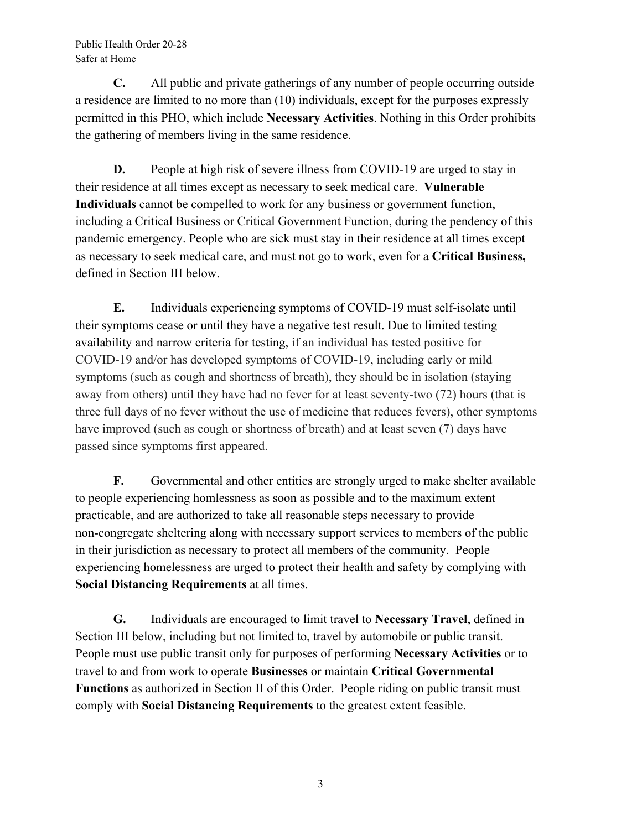Public Health Order 20-28 Safer at Home

**C.** All public and private gatherings of any number of people occurring outside a residence are limited to no more than (10) individuals, except for the purposes expressly permitted in this PHO, which include **Necessary Activities**. Nothing in this Order prohibits the gathering of members living in the same residence.

**D.** People at high risk of severe illness from COVID-19 are urged to stay in their residence at all times except as necessary to seek medical care. **Vulnerable Individuals** cannot be compelled to work for any business or government function, including a Critical Business or Critical Government Function, during the pendency of this pandemic emergency. People who are sick must stay in their residence at all times except as necessary to seek medical care, and must not go to work, even for a **Critical Business,** defined in Section III below.

**E.** Individuals experiencing symptoms of COVID-19 must self-isolate until their symptoms cease or until they have a negative test result. Due to limited testing availability and narrow criteria for testing, if an individual has tested positive for COVID-19 and/or has developed symptoms of COVID-19, including early or mild symptoms (such as cough and shortness of breath), they should be in isolation (staying away from others) until they have had no fever for at least seventy-two (72) hours (that is three full days of no fever without the use of medicine that reduces fevers), other symptoms have improved (such as cough or shortness of breath) and at least seven (7) days have passed since symptoms first appeared.

**F.** Governmental and other entities are strongly urged to make shelter available to people experiencing homlessness as soon as possible and to the maximum extent practicable, and are authorized to take all reasonable steps necessary to provide non-congregate sheltering along with necessary support services to members of the public in their jurisdiction as necessary to protect all members of the community. People experiencing homelessness are urged to protect their health and safety by complying with **Social Distancing Requirements** at all times.

**G.** Individuals are encouraged to limit travel to **Necessary Travel**, defined in Section III below, including but not limited to, travel by automobile or public transit. People must use public transit only for purposes of performing **Necessary Activities** or to travel to and from work to operate **Businesses** or maintain **Critical Governmental Functions** as authorized in Section II of this Order. People riding on public transit must comply with **Social Distancing Requirements** to the greatest extent feasible.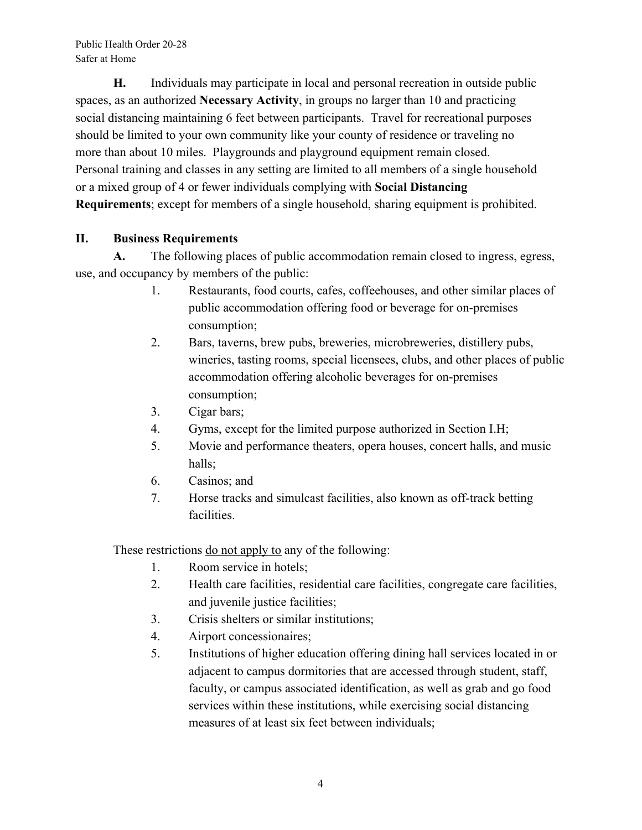**H.** Individuals may participate in local and personal recreation in outside public spaces, as an authorized **Necessary Activity**, in groups no larger than 10 and practicing social distancing maintaining 6 feet between participants. Travel for recreational purposes should be limited to your own community like your county of residence or traveling no more than about 10 miles. Playgrounds and playground equipment remain closed. Personal training and classes in any setting are limited to all members of a single household or a mixed group of 4 or fewer individuals complying with **Social Distancing Requirements**; except for members of a single household, sharing equipment is prohibited.

## **II. Business Requirements**

**A.** The following places of public accommodation remain closed to ingress, egress, use, and occupancy by members of the public:

- 1. Restaurants, food courts, cafes, coffeehouses, and other similar places of public accommodation offering food or beverage for on-premises consumption;
- 2. Bars, taverns, brew pubs, breweries, microbreweries, distillery pubs, wineries, tasting rooms, special licensees, clubs, and other places of public accommodation offering alcoholic beverages for on-premises consumption;
- 3. Cigar bars;
- 4. Gyms, except for the limited purpose authorized in Section I.H;
- 5. Movie and performance theaters, opera houses, concert halls, and music halls;
- 6. Casinos; and
- 7. Horse tracks and simulcast facilities, also known as off-track betting facilities.

These restrictions do not apply to any of the following:

- 1. Room service in hotels;
- 2. Health care facilities, residential care facilities, congregate care facilities, and juvenile justice facilities;
- 3. Crisis shelters or similar institutions;
- 4. Airport concessionaires;
- 5. Institutions of higher education offering dining hall services located in or adjacent to campus dormitories that are accessed through student, staff, faculty, or campus associated identification, as well as grab and go food services within these institutions, while exercising social distancing measures of at least six feet between individuals;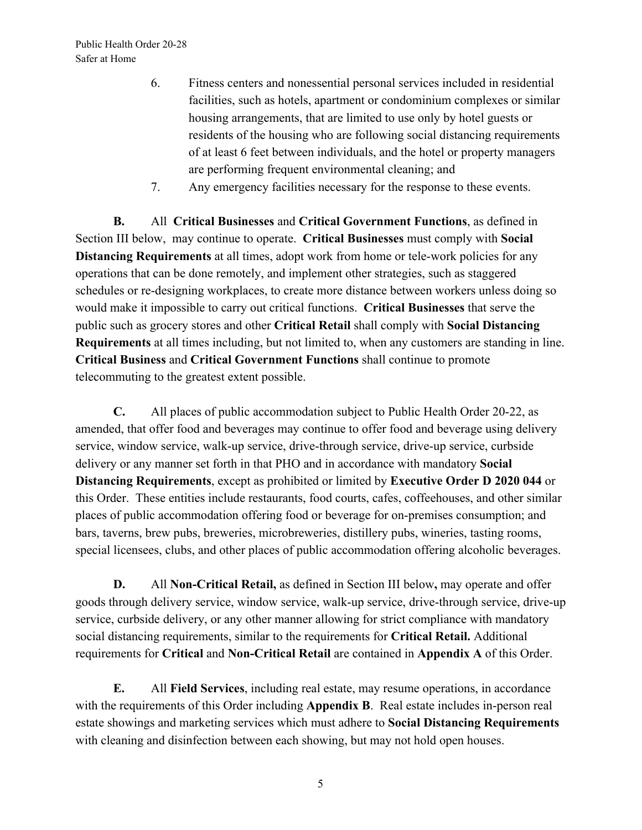- 6. Fitness centers and nonessential personal services included in residential facilities, such as hotels, apartment or condominium complexes or similar housing arrangements, that are limited to use only by hotel guests or residents of the housing who are following social distancing requirements of at least 6 feet between individuals, and the hotel or property managers are performing frequent environmental cleaning; and
- 7. Any emergency facilities necessary for the response to these events.

**B.** All **Critical Businesses** and **Critical Government Functions**, as defined in Section III below, may continue to operate. **Critical Businesses** must comply with **Social Distancing Requirements** at all times, adopt work from home or tele-work policies for any operations that can be done remotely, and implement other strategies, such as staggered schedules or re-designing workplaces, to create more distance between workers unless doing so would make it impossible to carry out critical functions. **Critical Businesses** that serve the public such as grocery stores and other **Critical Retail** shall comply with **Social Distancing Requirements** at all times including, but not limited to, when any customers are standing in line. **Critical Business** and **Critical Government Functions** shall continue to promote telecommuting to the greatest extent possible.

**C.** All places of public accommodation subject to Public Health Order 20-22, as amended, that offer food and beverages may continue to offer food and beverage using delivery service, window service, walk-up service, drive-through service, drive-up service, curbside delivery or any manner set forth in that PHO and in accordance with mandatory **Social Distancing Requirements**, except as prohibited or limited by **Executive Order D 2020 044** or this Order. These entities include restaurants, food courts, cafes, coffeehouses, and other similar places of public accommodation offering food or beverage for on-premises consumption; and bars, taverns, brew pubs, breweries, microbreweries, distillery pubs, wineries, tasting rooms, special licensees, clubs, and other places of public accommodation offering alcoholic beverages.

**D.** All **Non-Critical Retail,** as defined in Section III below**,** may operate and offer goods through delivery service, window service, walk-up service, drive-through service, drive-up service, curbside delivery, or any other manner allowing for strict compliance with mandatory social distancing requirements, similar to the requirements for **Critical Retail.** Additional requirements for **Critical** and **Non-Critical Retail** are contained in **Appendix A** of this Order.

**E.** All **Field Services**, including real estate, may resume operations, in accordance with the requirements of this Order including **Appendix B**. Real estate includes in-person real estate showings and marketing services which must adhere to **Social Distancing Requirements** with cleaning and disinfection between each showing, but may not hold open houses.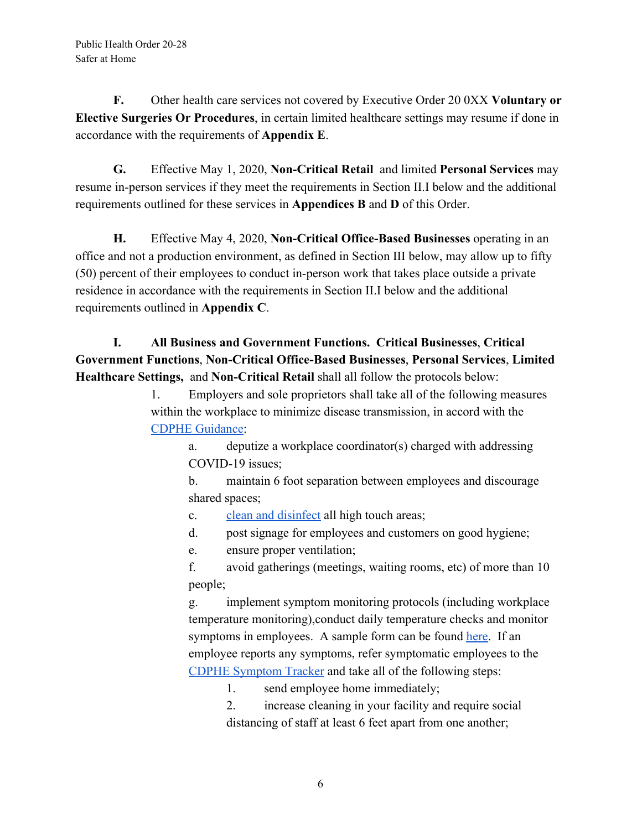**F.** Other health care services not covered by Executive Order 20 0XX **Voluntary or Elective Surgeries Or Procedures**, in certain limited healthcare settings may resume if done in accordance with the requirements of **Appendix E**.

**G.** Effective May 1, 2020, **Non-Critical Retail** and limited **Personal Services** may resume in-person services if they meet the requirements in Section II.I below and the additional requirements outlined for these services in **Appendices B** and **D** of this Order.

**H.** Effective May 4, 2020, **Non-Critical Office-Based Businesses** operating in an office and not a production environment, as defined in Section III below, may allow up to fifty (50) percent of their employees to conduct in-person work that takes place outside a private residence in accordance with the requirements in Section II.I below and the additional requirements outlined in **Appendix C**.

## **I. All Business and Government Functions. Critical Businesses**, **Critical Government Functions**, **Non-Critical Office-Based Businesses**, **Personal Services**, **Limited Healthcare Settings,** and **Non-Critical Retail** shall all follow the protocols below:

1. Employers and sole proprietors shall take all of the following measures within the workplace to minimize disease transmission, in accord with the [CDPHE Guidance](https://covid19.colorado.gov/covid-19-in-colorado/guidance-for-schools-workplaces-communities):

> a. deputize a workplace coordinator(s) charged with addressing COVID-19 issues;

b. maintain 6 foot separation between employees and discourage shared spaces;

c. [clean and disinfect](https://drive.google.com/file/d/1XQnjAL2nzdPnb7Dabz7-fX8Pw7XlyUe8/view) all high touch areas;

d. post signage for employees and customers on good hygiene;

e. ensure proper ventilation;

f. avoid gatherings (meetings, waiting rooms, etc) of more than 10 people;

g. implement symptom monitoring protocols (including workplace temperature monitoring),conduct daily temperature checks and monitor symptoms in employees. A sample form can be found [here.](https://drive.google.com/file/d/1uKwFlhc7wWa3OvnPw0zXWv49na_KGHdC/view) If an employee reports any symptoms, refer symptomatic employees to the [CDPHE Symptom Tracker](https://covid19.colorado.gov/covid19-symptoms) and take all of the following steps:

1. send employee home immediately;

2. increase cleaning in your facility and require social distancing of staff at least 6 feet apart from one another;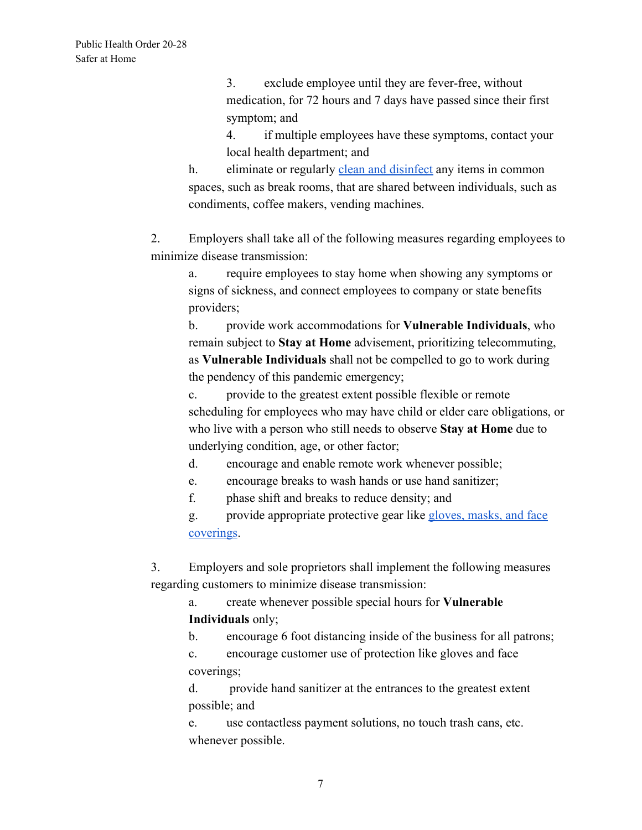3. exclude employee until they are fever-free, without medication, for 72 hours and 7 days have passed since their first symptom; and

4. if multiple employees have these symptoms, contact your local health department; and

h. eliminate or regularly [clean and disinfect](https://drive.google.com/file/d/1XQnjAL2nzdPnb7Dabz7-fX8Pw7XlyUe8/view) any items in common spaces, such as break rooms, that are shared between individuals, such as condiments, coffee makers, vending machines.

2. Employers shall take all of the following measures regarding employees to minimize disease transmission:

a. require employees to stay home when showing any symptoms or signs of sickness, and connect employees to company or state benefits providers;

b. provide work accommodations for **Vulnerable Individuals**, who remain subject to **Stay at Home** advisement, prioritizing telecommuting, as **Vulnerable Individuals** shall not be compelled to go to work during the pendency of this pandemic emergency;

c. provide to the greatest extent possible flexible or remote scheduling for employees who may have child or elder care obligations, or who live with a person who still needs to observe **Stay at Home** due to underlying condition, age, or other factor;

d. encourage and enable remote work whenever possible;

e. encourage breaks to wash hands or use hand sanitizer;

f. phase shift and breaks to reduce density; and

g. provide appropriate protective gear like [gloves, masks, and face](https://covid19.colorado.gov/mask-guidance) [coverings](https://covid19.colorado.gov/mask-guidance).

3. Employers and sole proprietors shall implement the following measures regarding customers to minimize disease transmission:

a. create whenever possible special hours for **Vulnerable Individuals** only;

b. encourage 6 foot distancing inside of the business for all patrons;

c. encourage customer use of protection like gloves and face coverings;

d. provide hand sanitizer at the entrances to the greatest extent possible; and

e. use contactless payment solutions, no touch trash cans, etc. whenever possible.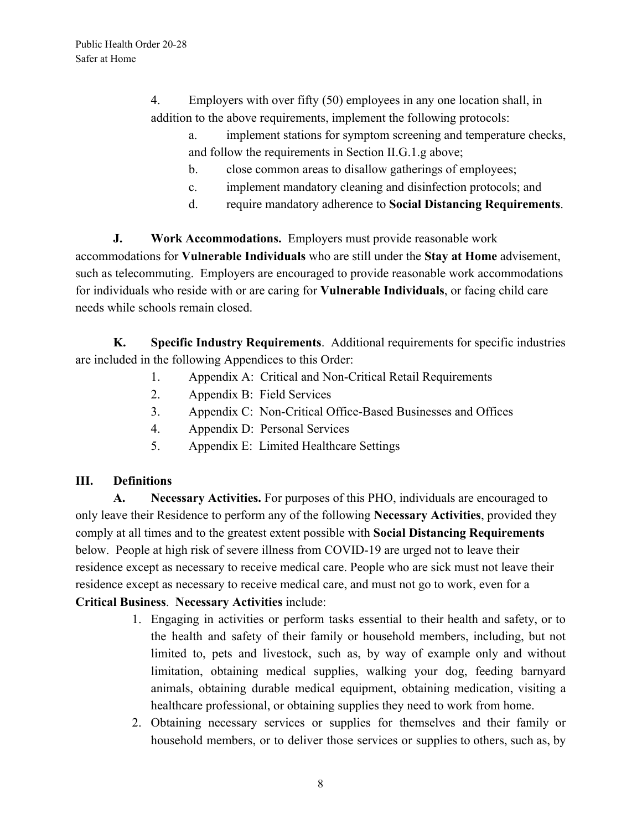4. Employers with over fifty (50) employees in any one location shall, in addition to the above requirements, implement the following protocols:

- a. implement stations for symptom screening and temperature checks, and follow the requirements in Section II.G.1.g above;
- b. close common areas to disallow gatherings of employees;
- c. implement mandatory cleaning and disinfection protocols; and
- d. require mandatory adherence to **Social Distancing Requirements**.

**J. Work Accommodations.** Employers must provide reasonable work accommodations for **Vulnerable Individuals** who are still under the **Stay at Home** advisement, such as telecommuting. Employers are encouraged to provide reasonable work accommodations for individuals who reside with or are caring for **Vulnerable Individuals**, or facing child care needs while schools remain closed.

**K. Specific Industry Requirements**. Additional requirements for specific industries are included in the following Appendices to this Order:

- 1. Appendix A: Critical and Non-Critical Retail Requirements
- 2. Appendix B: Field Services
- 3. Appendix C: Non-Critical Office-Based Businesses and Offices
- 4. Appendix D: Personal Services
- 5. Appendix E: Limited Healthcare Settings

#### **III. Definitions**

**A. Necessary Activities.** For purposes of this PHO, individuals are encouraged to only leave their Residence to perform any of the following **Necessary Activities**, provided they comply at all times and to the greatest extent possible with **Social Distancing Requirements** below. People at high risk of severe illness from COVID-19 are urged not to leave their residence except as necessary to receive medical care. People who are sick must not leave their residence except as necessary to receive medical care, and must not go to work, even for a **Critical Business**. **Necessary Activities** include:

- 1. Engaging in activities or perform tasks essential to their health and safety, or to the health and safety of their family or household members, including, but not limited to, pets and livestock, such as, by way of example only and without limitation, obtaining medical supplies, walking your dog, feeding barnyard animals, obtaining durable medical equipment, obtaining medication, visiting a healthcare professional, or obtaining supplies they need to work from home.
- 2. Obtaining necessary services or supplies for themselves and their family or household members, or to deliver those services or supplies to others, such as, by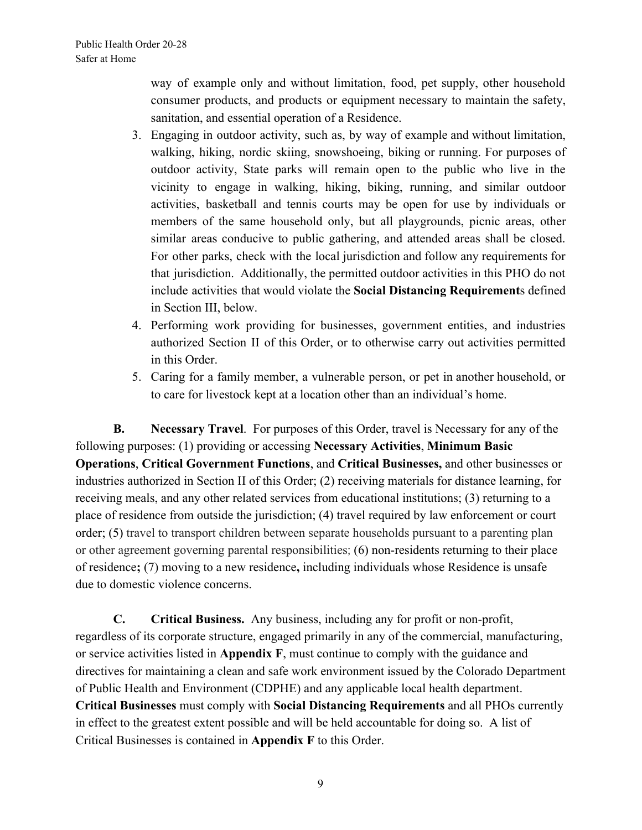way of example only and without limitation, food, pet supply, other household consumer products, and products or equipment necessary to maintain the safety, sanitation, and essential operation of a Residence.

- 3. Engaging in outdoor activity, such as, by way of example and without limitation, walking, hiking, nordic skiing, snowshoeing, biking or running. For purposes of outdoor activity, State parks will remain open to the public who live in the vicinity to engage in walking, hiking, biking, running, and similar outdoor activities, basketball and tennis courts may be open for use by individuals or members of the same household only, but all playgrounds, picnic areas, other similar areas conducive to public gathering, and attended areas shall be closed. For other parks, check with the local jurisdiction and follow any requirements for that jurisdiction. Additionally, the permitted outdoor activities in this PHO do not include activities that would violate the **Social Distancing Requirement**s defined in Section III, below.
- 4. Performing work providing for businesses, government entities, and industries authorized Section II of this Order, or to otherwise carry out activities permitted in this Order.
- 5. Caring for a family member, a vulnerable person, or pet in another household, or to care for livestock kept at a location other than an individual's home.

**B. Necessary Travel**. For purposes of this Order, travel is Necessary for any of the following purposes: (1) providing or accessing **Necessary Activities**, **Minimum Basic Operations**, **Critical Government Functions**, and **Critical Businesses,** and other businesses or industries authorized in Section II of this Order; (2) receiving materials for distance learning, for receiving meals, and any other related services from educational institutions; (3) returning to a place of residence from outside the jurisdiction; (4) travel required by law enforcement or court order; (5) travel to transport children between separate households pursuant to a parenting plan or other agreement governing parental responsibilities; (6) non-residents returning to their place of residence**;** (7) moving to a new residence**,** including individuals whose Residence is unsafe due to domestic violence concerns.

**C. Critical Business.** Any business, including any for profit or non-profit, regardless of its corporate structure, engaged primarily in any of the commercial, manufacturing, or service activities listed in **Appendix F**, must continue to comply with the guidance and directives for maintaining a clean and safe work environment issued by the Colorado Department of Public Health and Environment (CDPHE) and any applicable local health department. **Critical Businesses** must comply with **Social Distancing Requirements** and all PHOs currently in effect to the greatest extent possible and will be held accountable for doing so. A list of Critical Businesses is contained in **Appendix F** to this Order.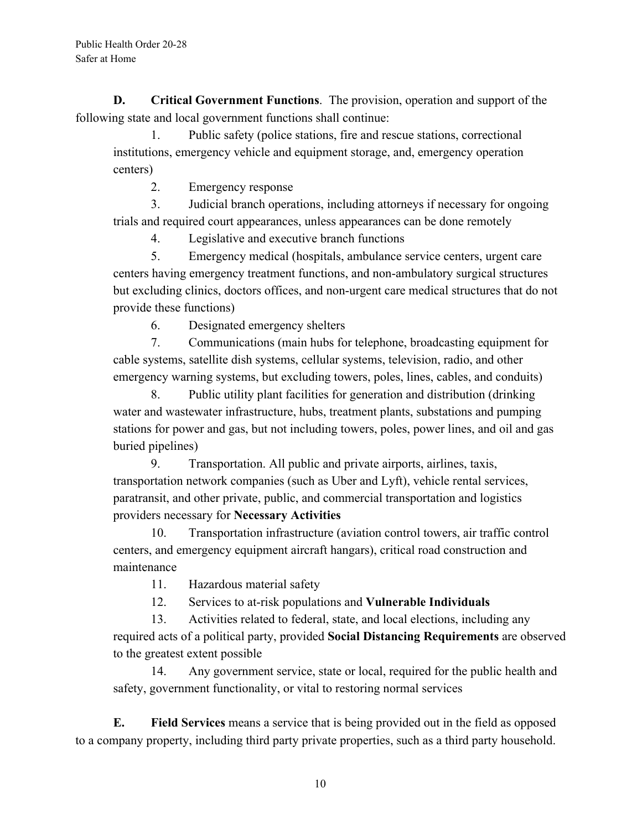**D. Critical Government Functions**. The provision, operation and support of the following state and local government functions shall continue:

1. Public safety (police stations, fire and rescue stations, correctional institutions, emergency vehicle and equipment storage, and, emergency operation centers)

2. Emergency response

3. Judicial branch operations, including attorneys if necessary for ongoing trials and required court appearances, unless appearances can be done remotely

4. Legislative and executive branch functions

5. Emergency medical (hospitals, ambulance service centers, urgent care centers having emergency treatment functions, and non-ambulatory surgical structures but excluding clinics, doctors offices, and non-urgent care medical structures that do not provide these functions)

6. Designated emergency shelters

7. Communications (main hubs for telephone, broadcasting equipment for cable systems, satellite dish systems, cellular systems, television, radio, and other emergency warning systems, but excluding towers, poles, lines, cables, and conduits)

8. Public utility plant facilities for generation and distribution (drinking water and wastewater infrastructure, hubs, treatment plants, substations and pumping stations for power and gas, but not including towers, poles, power lines, and oil and gas buried pipelines)

9. Transportation. All public and private airports, airlines, taxis, transportation network companies (such as Uber and Lyft), vehicle rental services, paratransit, and other private, public, and commercial transportation and logistics providers necessary for **Necessary Activities**

10. Transportation infrastructure (aviation control towers, air traffic control centers, and emergency equipment aircraft hangars), critical road construction and maintenance

11. Hazardous material safety

12. Services to at-risk populations and **Vulnerable Individuals**

13. Activities related to federal, state, and local elections, including any required acts of a political party, provided **Social Distancing Requirements** are observed to the greatest extent possible

14. Any government service, state or local, required for the public health and safety, government functionality, or vital to restoring normal services

**E. Field Services** means a service that is being provided out in the field as opposed to a company property, including third party private properties, such as a third party household.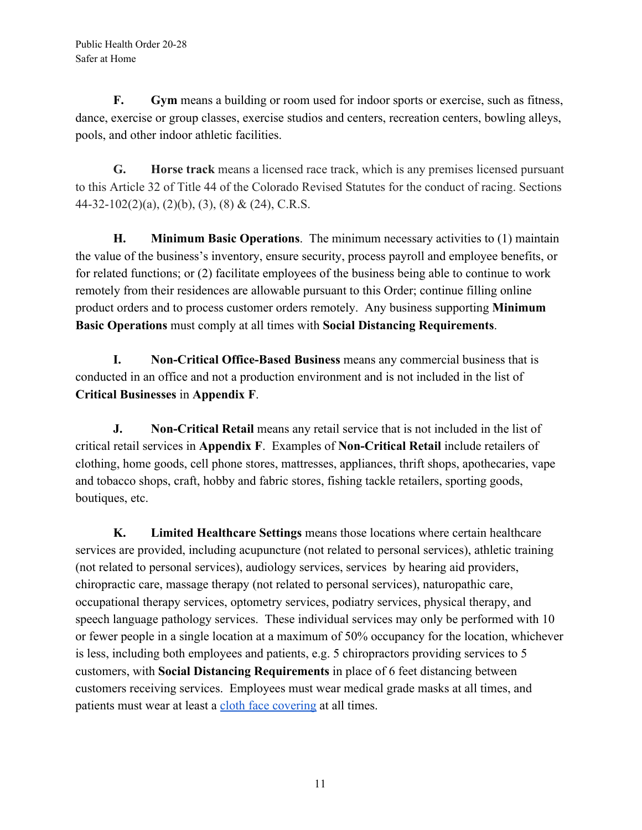**F. Gym** means a building or room used for indoor sports or exercise, such as fitness, dance, exercise or group classes, exercise studios and centers, recreation centers, bowling alleys, pools, and other indoor athletic facilities.

**G. Horse track** means a licensed race track, which is any premises licensed pursuant to this Article 32 of Title 44 of the Colorado Revised Statutes for the conduct of racing. Sections 44-32-102(2)(a), (2)(b), (3), (8) & (24), C.R.S.

**H. Minimum Basic Operations**. The minimum necessary activities to (1) maintain the value of the business's inventory, ensure security, process payroll and employee benefits, or for related functions; or (2) facilitate employees of the business being able to continue to work remotely from their residences are allowable pursuant to this Order; continue filling online product orders and to process customer orders remotely. Any business supporting **Minimum Basic Operations** must comply at all times with **Social Distancing Requirements**.

**I. Non-Critical Office-Based Business** means any commercial business that is conducted in an office and not a production environment and is not included in the list of **Critical Businesses** in **Appendix F**.

**J. Non-Critical Retail** means any retail service that is not included in the list of critical retail services in **Appendix F**. Examples of **Non-Critical Retail** include retailers of clothing, home goods, cell phone stores, mattresses, appliances, thrift shops, apothecaries, vape and tobacco shops, craft, hobby and fabric stores, fishing tackle retailers, sporting goods, boutiques, etc.

**K. Limited Healthcare Settings** means those locations where certain healthcare services are provided, including acupuncture (not related to personal services), athletic training (not related to personal services), audiology services, services by hearing aid providers, chiropractic care, massage therapy (not related to personal services), naturopathic care, occupational therapy services, optometry services, podiatry services, physical therapy, and speech language pathology services. These individual services may only be performed with 10 or fewer people in a single location at a maximum of 50% occupancy for the location, whichever is less, including both employees and patients, e.g. 5 chiropractors providing services to 5 customers, with **Social Distancing Requirements** in place of 6 feet distancing between customers receiving services. Employees must wear medical grade masks at all times, and patients must wear at least a [cloth face covering](https://covid19.colorado.gov/mask-guidance) at all times.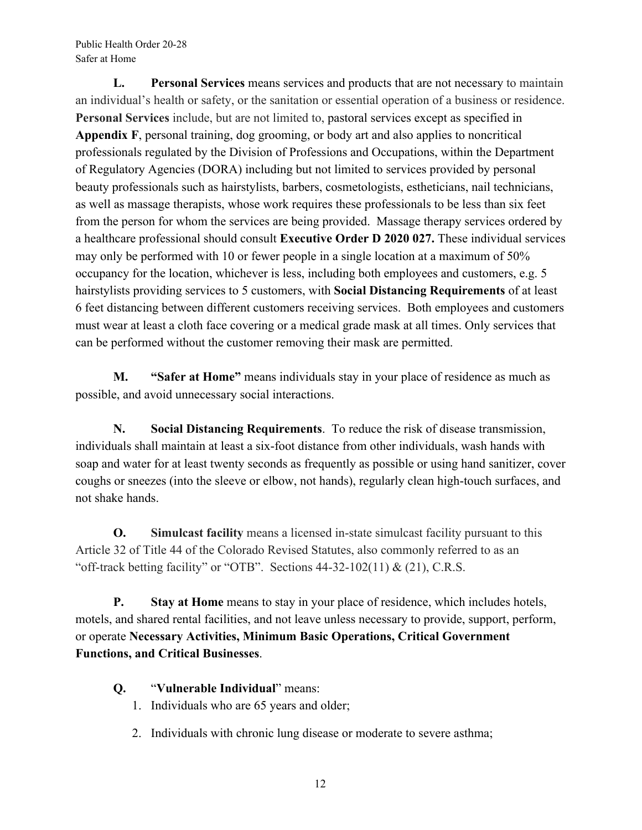Public Health Order 20-28 Safer at Home

**L. Personal Services** means services and products that are not necessary to maintain an individual's health or safety, or the sanitation or essential operation of a business or residence. **Personal Services** include, but are not limited to, pastoral services except as specified in **Appendix F**, personal training, dog grooming, or body art and also applies to noncritical professionals regulated by the Division of Professions and Occupations, within the Department of Regulatory Agencies (DORA) including but not limited to services provided by personal beauty professionals such as hairstylists, barbers, cosmetologists, estheticians, nail technicians, as well as massage therapists, whose work requires these professionals to be less than six feet from the person for whom the services are being provided. Massage therapy services ordered by a healthcare professional should consult **Executive Order D 2020 027.** These individual services may only be performed with 10 or fewer people in a single location at a maximum of 50% occupancy for the location, whichever is less, including both employees and customers, e.g. 5 hairstylists providing services to 5 customers, with **Social Distancing Requirements** of at least 6 feet distancing between different customers receiving services. Both employees and customers must wear at least a cloth face covering or a medical grade mask at all times. Only services that can be performed without the customer removing their mask are permitted.

**M. "Safer at Home"** means individuals stay in your place of residence as much as possible, and avoid unnecessary social interactions.

**N. Social Distancing Requirements**. To reduce the risk of disease transmission, individuals shall maintain at least a six-foot distance from other individuals, wash hands with soap and water for at least twenty seconds as frequently as possible or using hand sanitizer, cover coughs or sneezes (into the sleeve or elbow, not hands), regularly clean high-touch surfaces, and not shake hands.

**O. Simulcast facility** means a licensed in-state simulcast facility pursuant to this Article 32 of Title 44 of the Colorado Revised Statutes, also commonly referred to as an "off-track betting facility" or "OTB". Sections  $44-32-102(11) \& (21)$ , C.R.S.

**P. Stay at Home** means to stay in your place of residence, which includes hotels, motels, and shared rental facilities, and not leave unless necessary to provide, support, perform, or operate **Necessary Activities, Minimum Basic Operations, Critical Government Functions, and Critical Businesses**.

- **Q.** "**Vulnerable Individual**" means:
	- 1. Individuals who are 65 years and older;
	- 2. Individuals with chronic lung disease or moderate to severe asthma;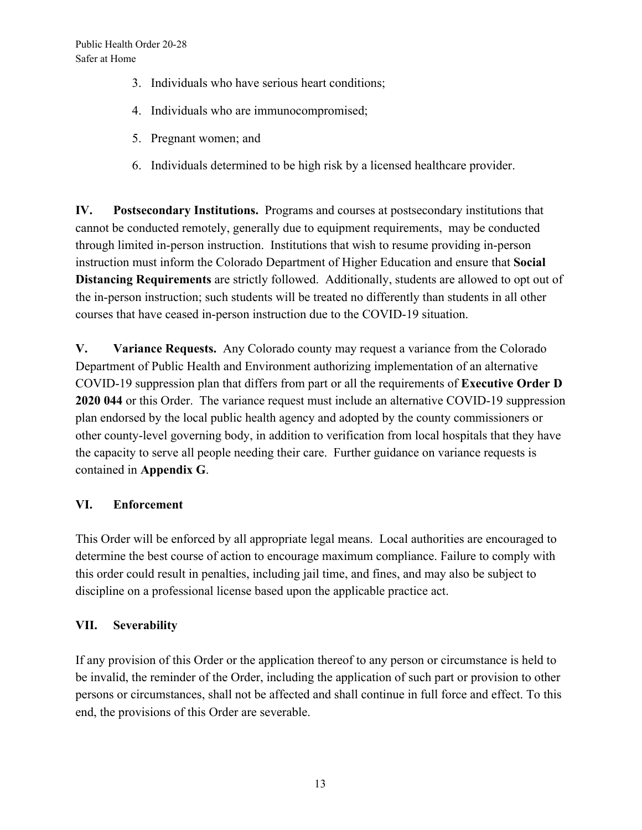- 3. Individuals who have serious heart conditions;
- 4. Individuals who are immunocompromised;
- 5. Pregnant women; and
- 6. Individuals determined to be high risk by a licensed healthcare provider.

**IV. Postsecondary Institutions.** Programs and courses at postsecondary institutions that cannot be conducted remotely, generally due to equipment requirements, may be conducted through limited in-person instruction. Institutions that wish to resume providing in-person instruction must inform the Colorado Department of Higher Education and ensure that **Social Distancing Requirements** are strictly followed. Additionally, students are allowed to opt out of the in-person instruction; such students will be treated no differently than students in all other courses that have ceased in-person instruction due to the COVID-19 situation.

**V. Variance Requests.** Any Colorado county may request a variance from the Colorado Department of Public Health and Environment authorizing implementation of an alternative COVID-19 suppression plan that differs from part or all the requirements of **Executive Order D 2020 044** or this Order. The variance request must include an alternative COVID-19 suppression plan endorsed by the local public health agency and adopted by the county commissioners or other county-level governing body, in addition to verification from local hospitals that they have the capacity to serve all people needing their care. Further guidance on variance requests is contained in **Appendix G**.

### **VI. Enforcement**

This Order will be enforced by all appropriate legal means. Local authorities are encouraged to determine the best course of action to encourage maximum compliance. Failure to comply with this order could result in penalties, including jail time, and fines, and may also be subject to discipline on a professional license based upon the applicable practice act.

## **VII. Severability**

If any provision of this Order or the application thereof to any person or circumstance is held to be invalid, the reminder of the Order, including the application of such part or provision to other persons or circumstances, shall not be affected and shall continue in full force and effect. To this end, the provisions of this Order are severable.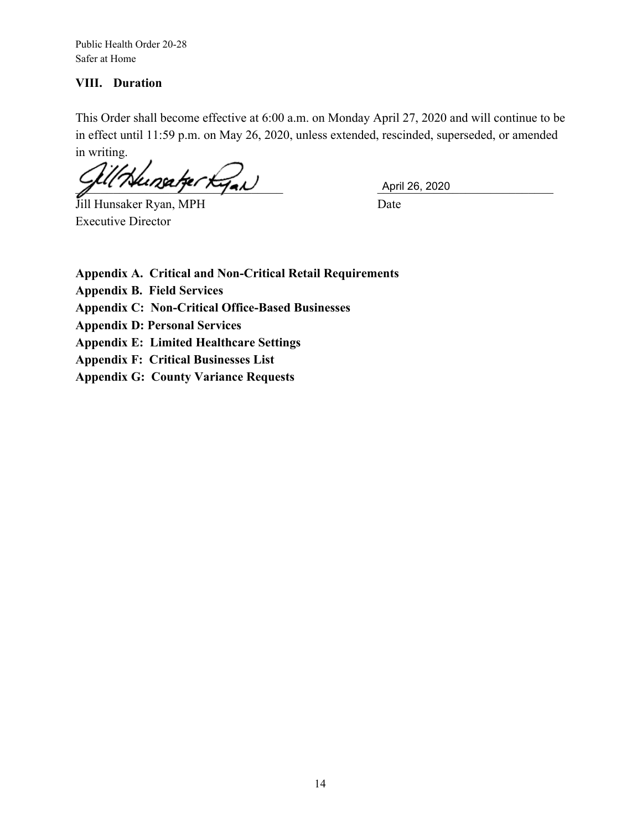Public Health Order 20-28 Safer at Home

#### **VIII. Duration**

This Order shall become effective at 6:00 a.m. on Monday April 27, 2020 and will continue to be in effect until 11:59 p.m. on May 26, 2020, unless extended, rescinded, superseded, or amended in writing.

 $\frac{1}{2}$   $\frac{1}{2}$   $\frac{1}{2}$   $\frac{1}{2}$   $\frac{1}{2}$   $\frac{1}{2}$   $\frac{1}{2}$  April 26, 2020

Jill Hunsaker Ryan, MPH Date Executive Director

**Appendix A. Critical and Non-Critical Retail Requirements**

**Appendix B. Field Services**

**Appendix C: Non-Critical Office-Based Businesses**

**Appendix D: Personal Services**

**Appendix E: Limited Healthcare Settings**

**Appendix F: Critical Businesses List**

**Appendix G: County Variance Requests**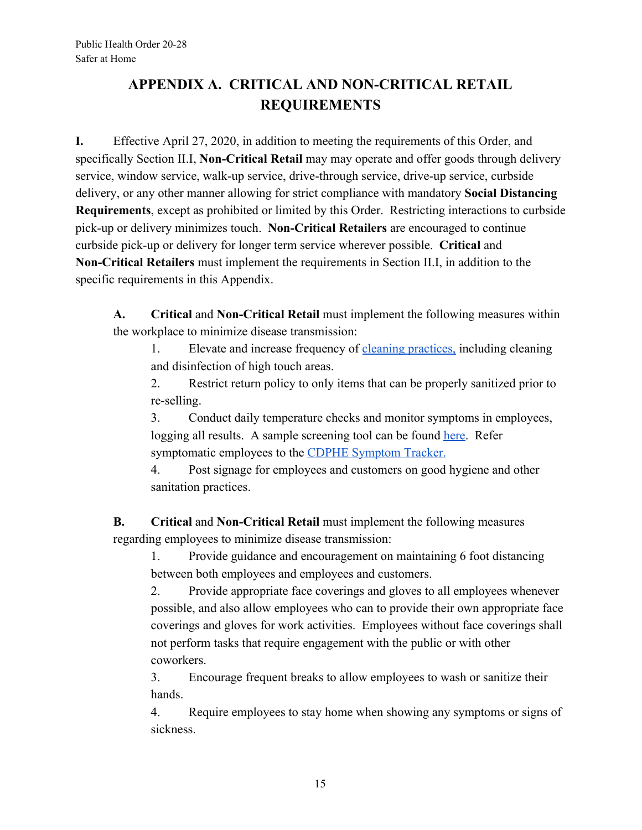# **APPENDIX A. CRITICAL AND NON-CRITICAL RETAIL REQUIREMENTS**

**I.** Effective April 27, 2020, in addition to meeting the requirements of this Order, and specifically Section II.I, **Non-Critical Retail** may may operate and offer goods through delivery service, window service, walk-up service, drive-through service, drive-up service, curbside delivery, or any other manner allowing for strict compliance with mandatory **Social Distancing Requirements**, except as prohibited or limited by this Order. Restricting interactions to curbside pick-up or delivery minimizes touch. **Non-Critical Retailers** are encouraged to continue curbside pick-up or delivery for longer term service wherever possible. **Critical** and **Non-Critical Retailers** must implement the requirements in Section II.I, in addition to the specific requirements in this Appendix.

**A. Critical** and **Non-Critical Retail** must implement the following measures within the workplace to minimize disease transmission:

1. Elevate and increase frequency of [cleaning practices,](https://drive.google.com/file/d/1XQnjAL2nzdPnb7Dabz7-fX8Pw7XlyUe8/view) including cleaning and disinfection of high touch areas.

2. Restrict return policy to only items that can be properly sanitized prior to re-selling.

3. Conduct daily temperature checks and monitor symptoms in employees, logging all results. A sample screening tool can be found [here.](https://drive.google.com/open?id=1uKwFlhc7wWa3OvnPw0zXWv49na_KGHdC) Refer symptomatic employees to the [CDPHE Symptom Tracker.](https://covid19.colorado.gov/covid19-symptoms)

4. Post signage for employees and customers on good hygiene and other sanitation practices.

**B. Critical** and **Non-Critical Retail** must implement the following measures regarding employees to minimize disease transmission:

1. Provide guidance and encouragement on maintaining 6 foot distancing between both employees and employees and customers.

2. Provide appropriate face coverings and gloves to all employees whenever possible, and also allow employees who can to provide their own appropriate face coverings and gloves for work activities. Employees without face coverings shall not perform tasks that require engagement with the public or with other coworkers.

3. Encourage frequent breaks to allow employees to wash or sanitize their hands.

4. Require employees to stay home when showing any symptoms or signs of sickness.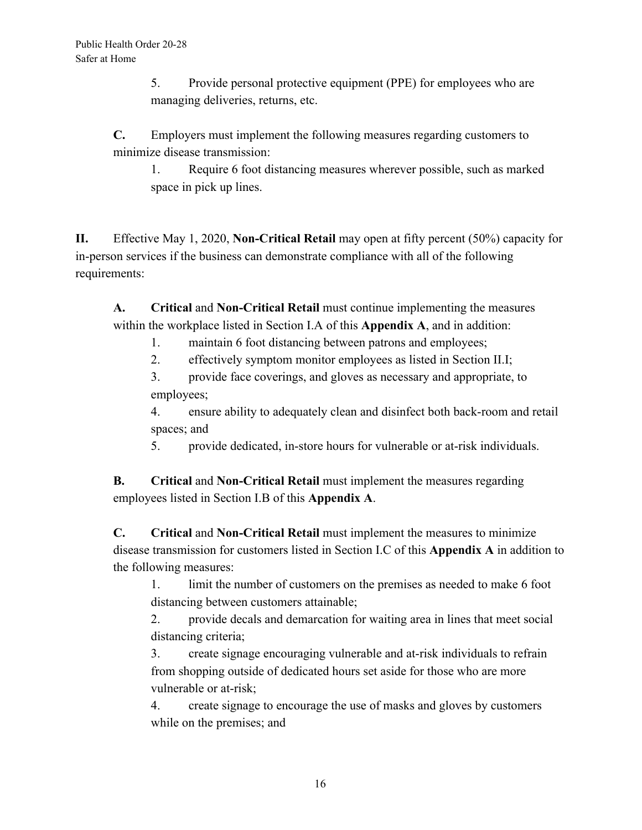5. Provide personal protective equipment (PPE) for employees who are managing deliveries, returns, etc.

**C.** Employers must implement the following measures regarding customers to minimize disease transmission:

1. Require 6 foot distancing measures wherever possible, such as marked space in pick up lines.

**II.** Effective May 1, 2020, **Non-Critical Retail** may open at fifty percent (50%) capacity for in-person services if the business can demonstrate compliance with all of the following requirements:

**A. Critical** and **Non-Critical Retail** must continue implementing the measures within the workplace listed in Section I.A of this **Appendix A**, and in addition:

- 1. maintain 6 foot distancing between patrons and employees;
- 2. effectively symptom monitor employees as listed in Section II.I;

3. provide face coverings, and gloves as necessary and appropriate, to employees;

4. ensure ability to adequately clean and disinfect both back-room and retail spaces; and

5. provide dedicated, in-store hours for vulnerable or at-risk individuals.

**B. Critical** and **Non-Critical Retail** must implement the measures regarding employees listed in Section I.B of this **Appendix A**.

**C. Critical** and **Non-Critical Retail** must implement the measures to minimize disease transmission for customers listed in Section I.C of this **Appendix A** in addition to the following measures:

1. limit the number of customers on the premises as needed to make 6 foot distancing between customers attainable;

2. provide decals and demarcation for waiting area in lines that meet social distancing criteria;

3. create signage encouraging vulnerable and at-risk individuals to refrain from shopping outside of dedicated hours set aside for those who are more vulnerable or at-risk;

4. create signage to encourage the use of masks and gloves by customers while on the premises; and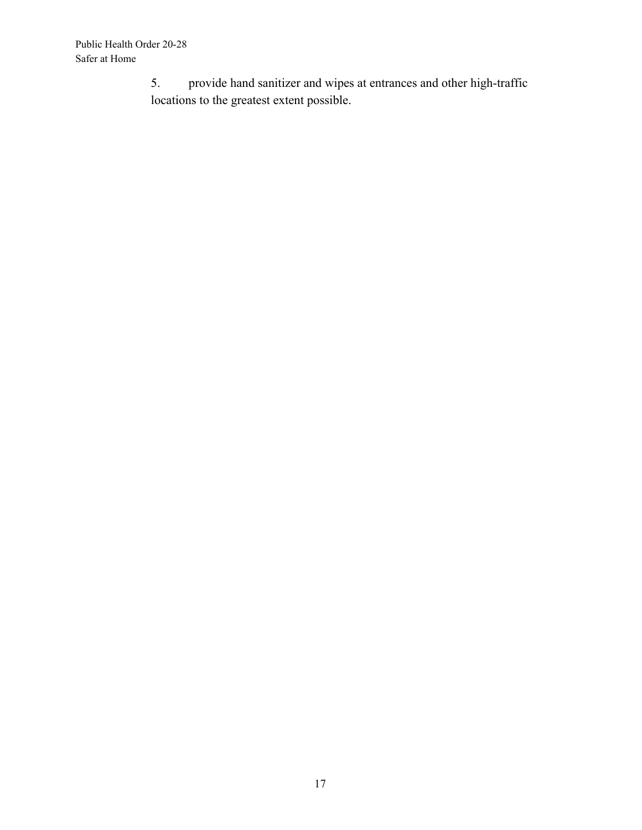5. provide hand sanitizer and wipes at entrances and other high-traffic locations to the greatest extent possible.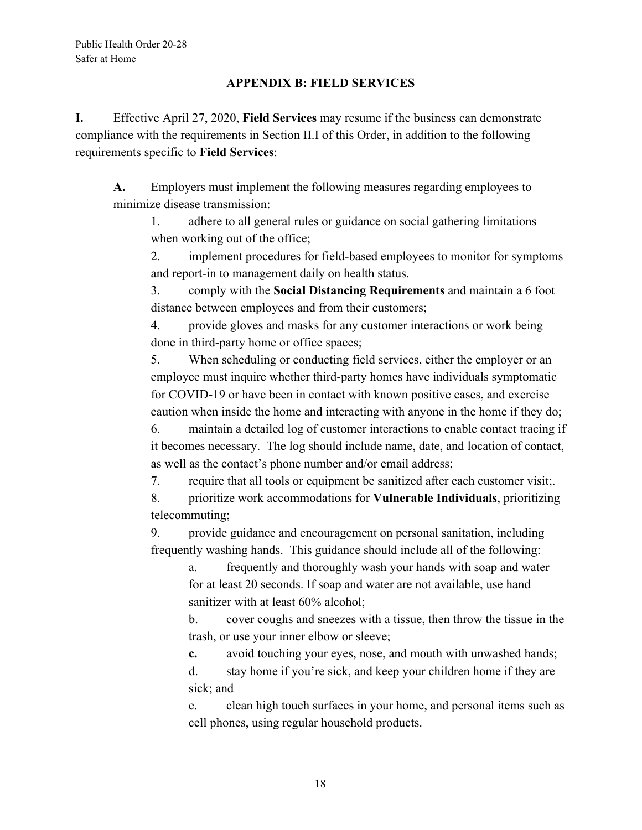#### **APPENDIX B: FIELD SERVICES**

**I.** Effective April 27, 2020, **Field Services** may resume if the business can demonstrate compliance with the requirements in Section II.I of this Order, in addition to the following requirements specific to **Field Services**:

**A.** Employers must implement the following measures regarding employees to minimize disease transmission:

1. adhere to all general rules or guidance on social gathering limitations when working out of the office;

2. implement procedures for field-based employees to monitor for symptoms and report-in to management daily on health status.

3. comply with the **Social Distancing Requirements** and maintain a 6 foot distance between employees and from their customers;

4. provide gloves and masks for any customer interactions or work being done in third-party home or office spaces;

5. When scheduling or conducting field services, either the employer or an employee must inquire whether third-party homes have individuals symptomatic for COVID-19 or have been in contact with known positive cases, and exercise caution when inside the home and interacting with anyone in the home if they do;

6. maintain a detailed log of customer interactions to enable contact tracing if it becomes necessary. The log should include name, date, and location of contact, as well as the contact's phone number and/or email address;

7. require that all tools or equipment be sanitized after each customer visit;.

8. prioritize work accommodations for **Vulnerable Individuals**, prioritizing telecommuting;

9. provide guidance and encouragement on personal sanitation, including frequently washing hands. This guidance should include all of the following:

a. frequently and thoroughly wash your hands with soap and water for at least 20 seconds. If soap and water are not available, use hand sanitizer with at least 60% alcohol;

b. cover coughs and sneezes with a tissue, then throw the tissue in the trash, or use your inner elbow or sleeve;

**c.** avoid touching your eyes, nose, and mouth with unwashed hands;

d. stay home if you're sick, and keep your children home if they are sick; and

e. clean high touch surfaces in your home, and personal items such as cell phones, using regular household products.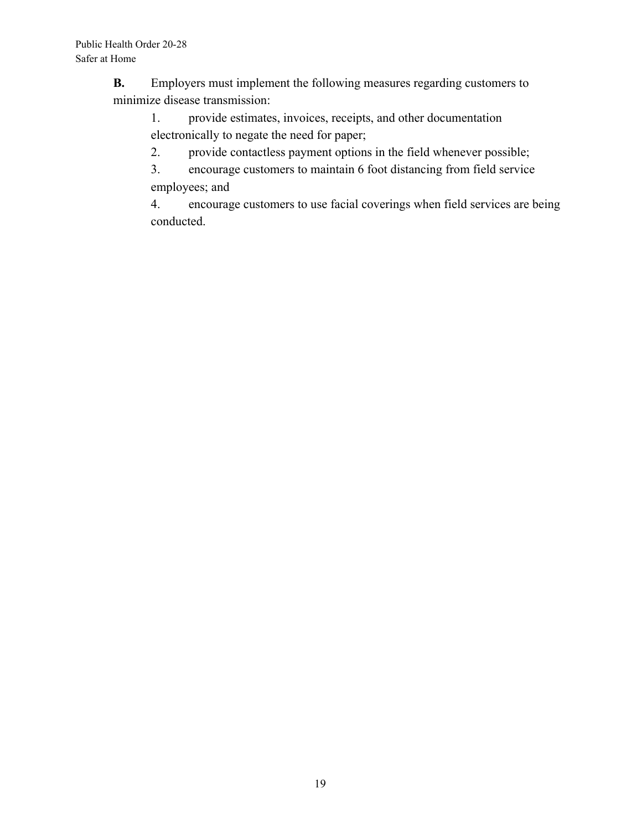**B.** Employers must implement the following measures regarding customers to minimize disease transmission:

1. provide estimates, invoices, receipts, and other documentation electronically to negate the need for paper;

2. provide contactless payment options in the field whenever possible;

3. encourage customers to maintain 6 foot distancing from field service employees; and

4. encourage customers to use facial coverings when field services are being conducted.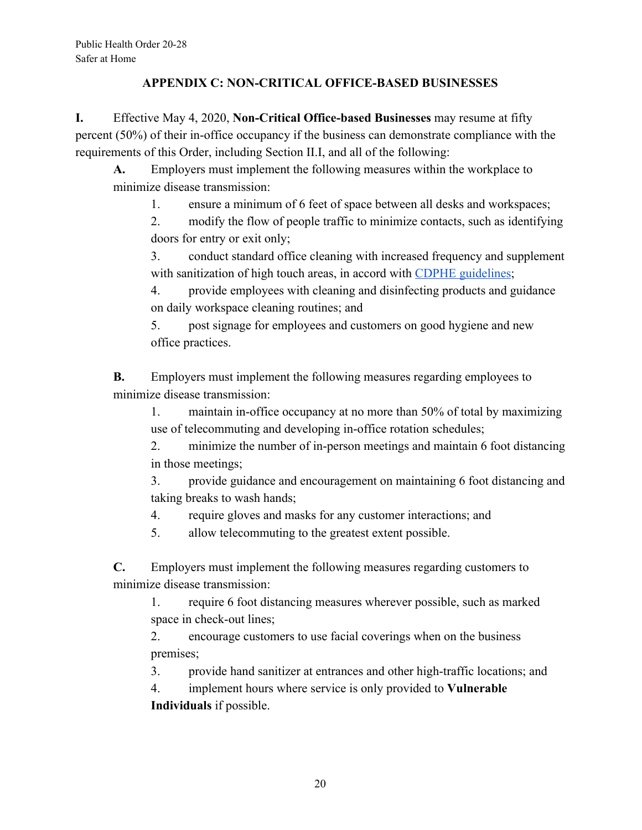#### **APPENDIX C: NON-CRITICAL OFFICE-BASED BUSINESSES**

**I.** Effective May 4, 2020, **Non-Critical Office-based Businesses** may resume at fifty percent (50%) of their in-office occupancy if the business can demonstrate compliance with the requirements of this Order, including Section II.I, and all of the following:

**A.** Employers must implement the following measures within the workplace to minimize disease transmission:

1. ensure a minimum of 6 feet of space between all desks and workspaces;

2. modify the flow of people traffic to minimize contacts, such as identifying doors for entry or exit only;

3. conduct standard office cleaning with increased frequency and supplement with sanitization of high touch areas, in accord with [CDPHE guidelines;](https://drive.google.com/file/d/1XQnjAL2nzdPnb7Dabz7-fX8Pw7XlyUe8/view)

4. provide employees with cleaning and disinfecting products and guidance on daily workspace cleaning routines; and

5. post signage for employees and customers on good hygiene and new office practices.

**B.** Employers must implement the following measures regarding employees to minimize disease transmission:

1. maintain in-office occupancy at no more than 50% of total by maximizing use of telecommuting and developing in-office rotation schedules;

2. minimize the number of in-person meetings and maintain 6 foot distancing in those meetings;

3. provide guidance and encouragement on maintaining 6 foot distancing and taking breaks to wash hands;

4. require gloves and masks for any customer interactions; and

5. allow telecommuting to the greatest extent possible.

**C.** Employers must implement the following measures regarding customers to minimize disease transmission:

1. require 6 foot distancing measures wherever possible, such as marked space in check-out lines;

2. encourage customers to use facial coverings when on the business premises;

3. provide hand sanitizer at entrances and other high-traffic locations; and

4. implement hours where service is only provided to **Vulnerable Individuals** if possible.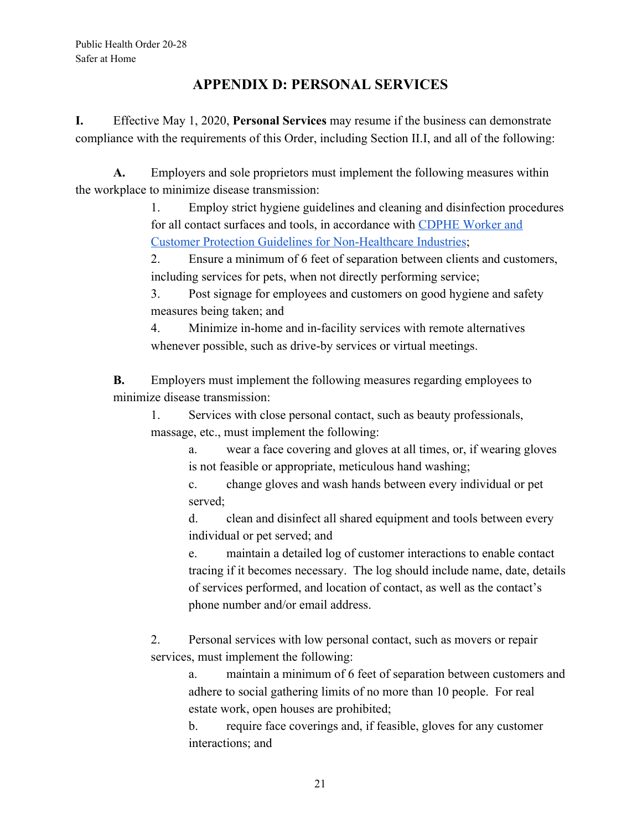## **APPENDIX D: PERSONAL SERVICES**

**I.** Effective May 1, 2020, **Personal Services** may resume if the business can demonstrate compliance with the requirements of this Order, including Section II.I, and all of the following:

**A.** Employers and sole proprietors must implement the following measures within the workplace to minimize disease transmission:

> 1. Employ strict hygiene guidelines and cleaning and disinfection procedures for all contact surfaces and tools, in accordance with [CDPHE Worker and](https://drive.google.com/file/d/1igO33lyD2knC7o6eXKEAWSFCXR28oJlg/view) [Customer Protection Guidelines for Non-Healthcare Industries;](https://drive.google.com/file/d/1igO33lyD2knC7o6eXKEAWSFCXR28oJlg/view)

2. Ensure a minimum of 6 feet of separation between clients and customers, including services for pets, when not directly performing service;

3. Post signage for employees and customers on good hygiene and safety measures being taken; and

4. Minimize in-home and in-facility services with remote alternatives whenever possible, such as drive-by services or virtual meetings.

**B.** Employers must implement the following measures regarding employees to minimize disease transmission:

1. Services with close personal contact, such as beauty professionals, massage, etc., must implement the following:

a. wear a face covering and gloves at all times, or, if wearing gloves is not feasible or appropriate, meticulous hand washing;

c. change gloves and wash hands between every individual or pet served;

d. clean and disinfect all shared equipment and tools between every individual or pet served; and

e. maintain a detailed log of customer interactions to enable contact tracing if it becomes necessary. The log should include name, date, details of services performed, and location of contact, as well as the contact's phone number and/or email address.

2. Personal services with low personal contact, such as movers or repair services, must implement the following:

a. maintain a minimum of 6 feet of separation between customers and adhere to social gathering limits of no more than 10 people. For real estate work, open houses are prohibited;

b. require face coverings and, if feasible, gloves for any customer interactions; and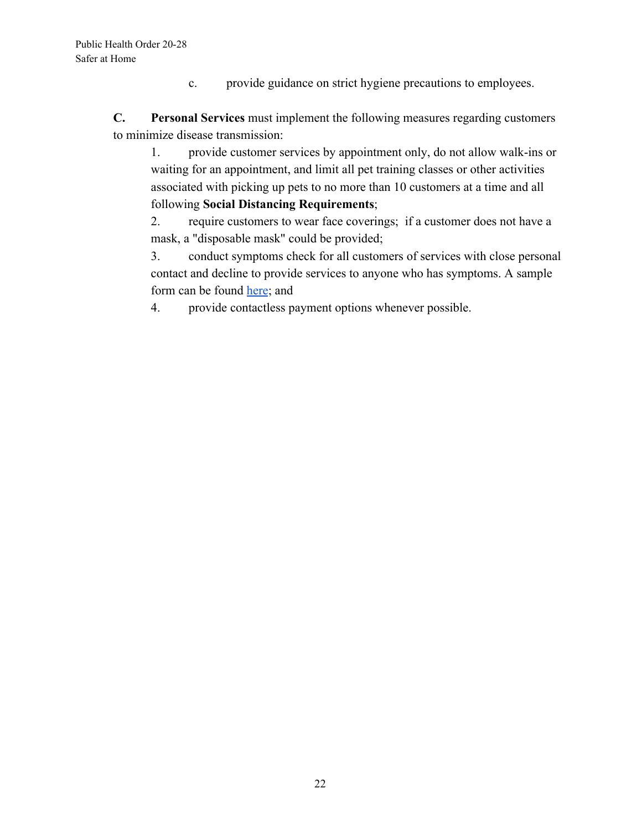c. provide guidance on strict hygiene precautions to employees.

**C. Personal Services** must implement the following measures regarding customers to minimize disease transmission:

1. provide customer services by appointment only, do not allow walk-ins or waiting for an appointment, and limit all pet training classes or other activities associated with picking up pets to no more than 10 customers at a time and all following **Social Distancing Requirements**;

2. require customers to wear face coverings; if a customer does not have a mask, a "disposable mask" could be provided;

3. conduct symptoms check for all customers of services with close personal contact and decline to provide services to anyone who has symptoms. A sample form can be found [here;](https://drive.google.com/file/d/1uKwFlhc7wWa3OvnPw0zXWv49na_KGHdC/view) and

4. provide contactless payment options whenever possible.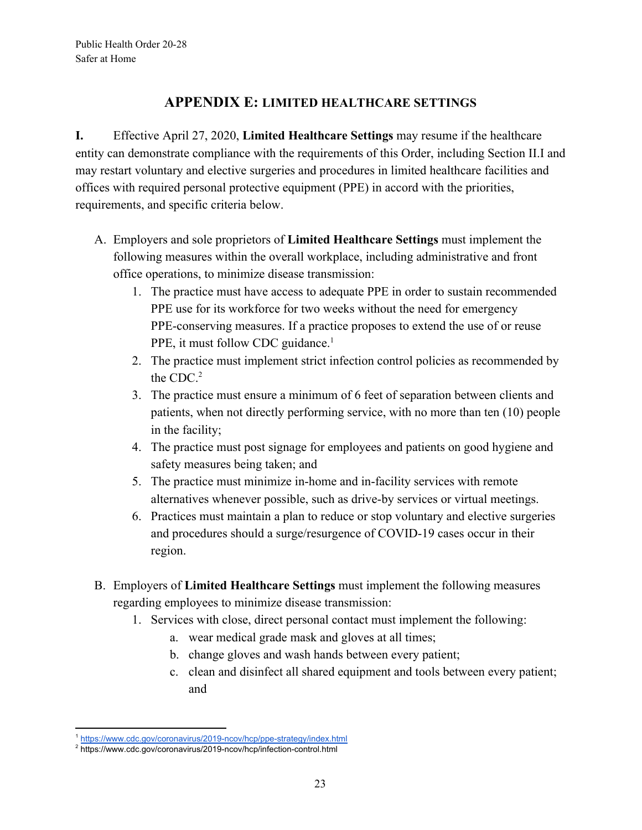## **APPENDIX E: LIMITED HEALTHCARE SETTINGS**

**I.** Effective April 27, 2020, **Limited Healthcare Settings** may resume if the healthcare entity can demonstrate compliance with the requirements of this Order, including Section II.I and may restart voluntary and elective surgeries and procedures in limited healthcare facilities and offices with required personal protective equipment (PPE) in accord with the priorities, requirements, and specific criteria below.

- A. Employers and sole proprietors of **Limited Healthcare Settings** must implement the following measures within the overall workplace, including administrative and front office operations, to minimize disease transmission:
	- 1. The practice must have access to adequate PPE in order to sustain recommended PPE use for its workforce for two weeks without the need for emergency PPE-conserving measures. If a practice proposes to extend the use of or reuse PPE, it must follow CDC guidance.<sup>1</sup>
	- 2. The practice must implement strict infection control policies as recommended by the CDC.<sup>2</sup>
	- 3. The practice must ensure a minimum of 6 feet of separation between clients and patients, when not directly performing service, with no more than ten (10) people in the facility;
	- 4. The practice must post signage for employees and patients on good hygiene and safety measures being taken; and
	- 5. The practice must minimize in-home and in-facility services with remote alternatives whenever possible, such as drive-by services or virtual meetings.
	- 6. Practices must maintain a plan to reduce or stop voluntary and elective surgeries and procedures should a surge/resurgence of COVID-19 cases occur in their region.
- B. Employers of **Limited Healthcare Settings** must implement the following measures regarding employees to minimize disease transmission:
	- 1. Services with close, direct personal contact must implement the following:
		- a. wear medical grade mask and gloves at all times;
		- b. change gloves and wash hands between every patient;
		- c. clean and disinfect all shared equipment and tools between every patient; and

<sup>1</sup> <https://www.cdc.gov/coronavirus/2019-ncov/hcp/ppe-strategy/index.html>

<sup>2</sup> <https://www.cdc.gov/coronavirus/2019-ncov/hcp/infection-control.html>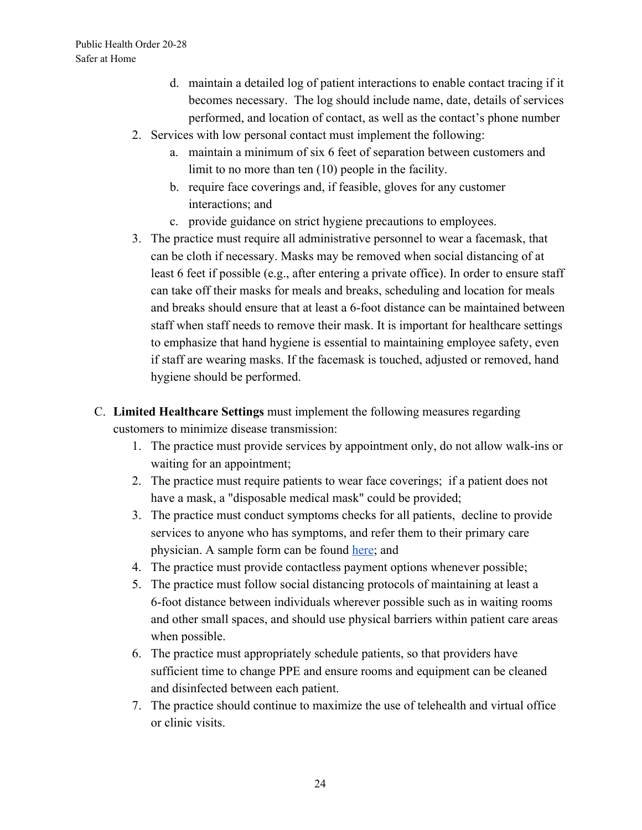- d. maintain a detailed log of patient interactions to enable contact tracing if it becomes necessary. The log should include name, date, details of services performed, and location of contact, as well as the contact's phone number
- 2. Services with low personal contact must implement the following:
	- a. maintain a minimum of six 6 feet of separation between customers and limit to no more than ten (10) people in the facility.
	- b. require face coverings and, if feasible, gloves for any customer interactions; and
	- c. provide guidance on strict hygiene precautions to employees.
- 3. The practice must require all administrative personnel to wear a facemask, that can be cloth if necessary. Masks may be removed when social distancing of at least 6 feet if possible (e.g., after entering a private office). In order to ensure staff can take off their masks for meals and breaks, scheduling and location for meals and breaks should ensure that at least a 6-foot distance can be maintained between staff when staff needs to remove their mask. It is important for healthcare settings to emphasize that hand hygiene is essential to maintaining employee safety, even if staff are wearing masks. If the facemask is touched, adjusted or removed, hand hygiene should be performed.
- C. **Limited Healthcare Settings** must implement the following measures regarding customers to minimize disease transmission:
	- 1. The practice must provide services by appointment only, do not allow walk-ins or waiting for an appointment;
	- 2. The practice must require patients to wear face coverings; if a patient does not have a mask, a "disposable medical mask" could be provided;
	- 3. The practice must conduct symptoms checks for all patients, decline to provide services to anyone who has symptoms, and refer them to their primary care physician. A sample form can be found [here](https://drive.google.com/file/d/1uKwFlhc7wWa3OvnPw0zXWv49na_KGHdC/view); and
	- 4. The practice must provide contactless payment options whenever possible;
	- 5. The practice must follow social distancing protocols of maintaining at least a 6-foot distance between individuals wherever possible such as in waiting rooms and other small spaces, and should use physical barriers within patient care areas when possible.
	- 6. The practice must appropriately schedule patients, so that providers have sufficient time to change PPE and ensure rooms and equipment can be cleaned and disinfected between each patient.
	- 7. The practice should continue to maximize the use of telehealth and virtual office or clinic visits.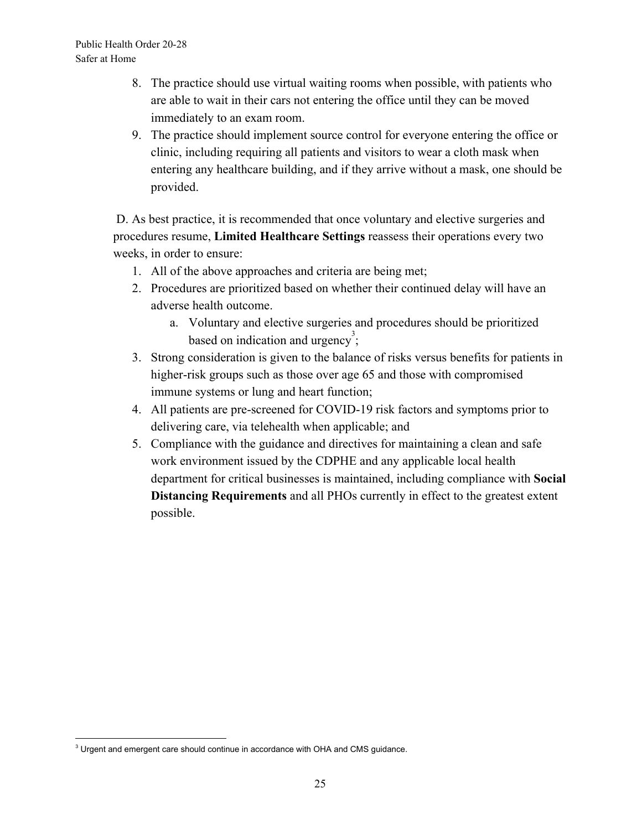- 8. The practice should use virtual waiting rooms when possible, with patients who are able to wait in their cars not entering the office until they can be moved immediately to an exam room.
- 9. The practice should implement source control for everyone entering the office or clinic, including requiring all patients and visitors to wear a cloth mask when entering any healthcare building, and if they arrive without a mask, one should be provided.

 D. As best practice, it is recommended that once voluntary and elective surgeries and procedures resume, **Limited Healthcare Settings** reassess their operations every two weeks, in order to ensure:

- 1. All of the above approaches and criteria are being met;
- 2. Procedures are prioritized based on whether their continued delay will have an adverse health outcome.
	- a. Voluntary and elective surgeries and procedures should be prioritized based on indication and urgency<sup>3</sup>;
- 3. Strong consideration is given to the balance of risks versus benefits for patients in higher-risk groups such as those over age 65 and those with compromised immune systems or lung and heart function;
- 4. All patients are pre-screened for COVID-19 risk factors and symptoms prior to delivering care, via telehealth when applicable; and
- 5. Compliance with the guidance and directives for maintaining a clean and safe work environment issued by the CDPHE and any applicable local health department for critical businesses is maintained, including compliance with **Social Distancing Requirements** and all PHOs currently in effect to the greatest extent possible.

<sup>&</sup>lt;sup>3</sup> Urgent and emergent care should continue in accordance with OHA and CMS guidance.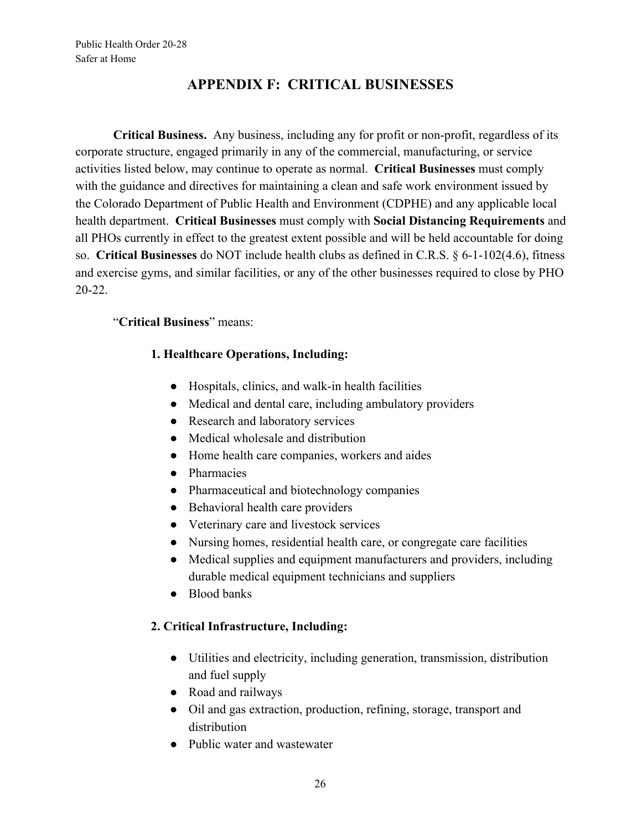## **APPENDIX F: CRITICAL BUSINESSES**

**Critical Business.** Any business, including any for profit or non-profit, regardless of its corporate structure, engaged primarily in any of the commercial, manufacturing, or service activities listed below, may continue to operate as normal. **Critical Businesses** must comply with the guidance and directives for maintaining a clean and safe work environment issued by the Colorado Department of Public Health and Environment (CDPHE) and any applicable local health department. **Critical Businesses** must comply with **Social Distancing Requirements** and all PHOs currently in effect to the greatest extent possible and will be held accountable for doing so. **Critical Businesses** do NOT include health clubs as defined in C.R.S. § 6-1-102(4.6), fitness and exercise gyms, and similar facilities, or any of the other businesses required to close by PHO 20-22.

## "**Critical Business**" means:

### **1. Healthcare Operations, Including:**

- Hospitals, clinics, and walk-in health facilities
- Medical and dental care, including ambulatory providers
- Research and laboratory services
- Medical wholesale and distribution
- Home health care companies, workers and aides
- Pharmacies
- Pharmaceutical and biotechnology companies
- Behavioral health care providers
- Veterinary care and livestock services
- Nursing homes, residential health care, or congregate care facilities
- Medical supplies and equipment manufacturers and providers, including durable medical equipment technicians and suppliers
- Blood banks

### **2. Critical Infrastructure, Including:**

- Utilities and electricity, including generation, transmission, distribution and fuel supply
- Road and railways
- Oil and gas extraction, production, refining, storage, transport and distribution
- Public water and wastewater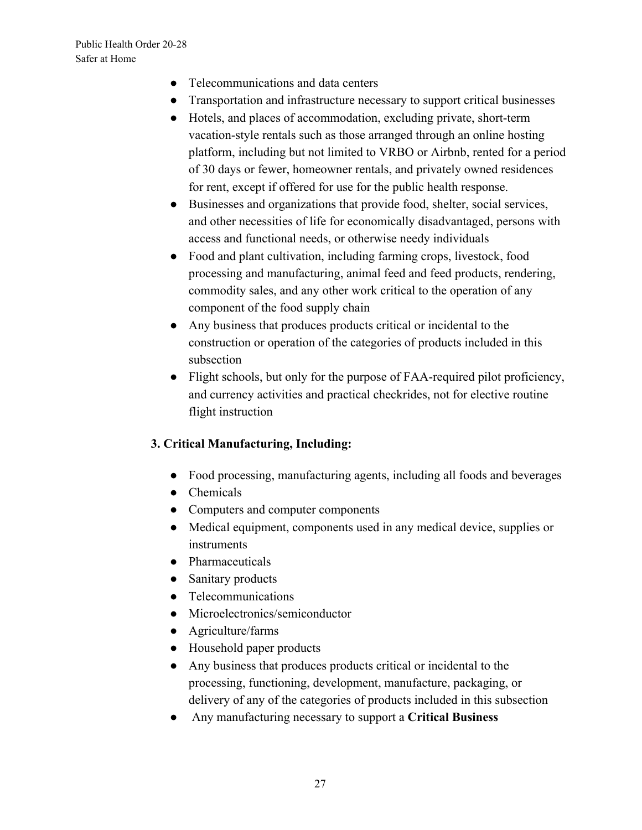- Telecommunications and data centers
- Transportation and infrastructure necessary to support critical businesses
- Hotels, and places of accommodation, excluding private, short-term vacation-style rentals such as those arranged through an online hosting platform, including but not limited to VRBO or Airbnb, rented for a period of 30 days or fewer, homeowner rentals, and privately owned residences for rent, except if offered for use for the public health response.
- Businesses and organizations that provide food, shelter, social services, and other necessities of life for economically disadvantaged, persons with access and functional needs, or otherwise needy individuals
- Food and plant cultivation, including farming crops, livestock, food processing and manufacturing, animal feed and feed products, rendering, commodity sales, and any other work critical to the operation of any component of the food supply chain
- Any business that produces products critical or incidental to the construction or operation of the categories of products included in this subsection
- Flight schools, but only for the purpose of FAA-required pilot proficiency, and currency activities and practical checkrides, not for elective routine flight instruction

### **3. Critical Manufacturing, Including:**

- Food processing, manufacturing agents, including all foods and beverages
- Chemicals
- Computers and computer components
- Medical equipment, components used in any medical device, supplies or **instruments**
- Pharmaceuticals
- Sanitary products
- Telecommunications
- Microelectronics/semiconductor
- Agriculture/farms
- Household paper products
- Any business that produces products critical or incidental to the processing, functioning, development, manufacture, packaging, or delivery of any of the categories of products included in this subsection
- Any manufacturing necessary to support a **Critical Business**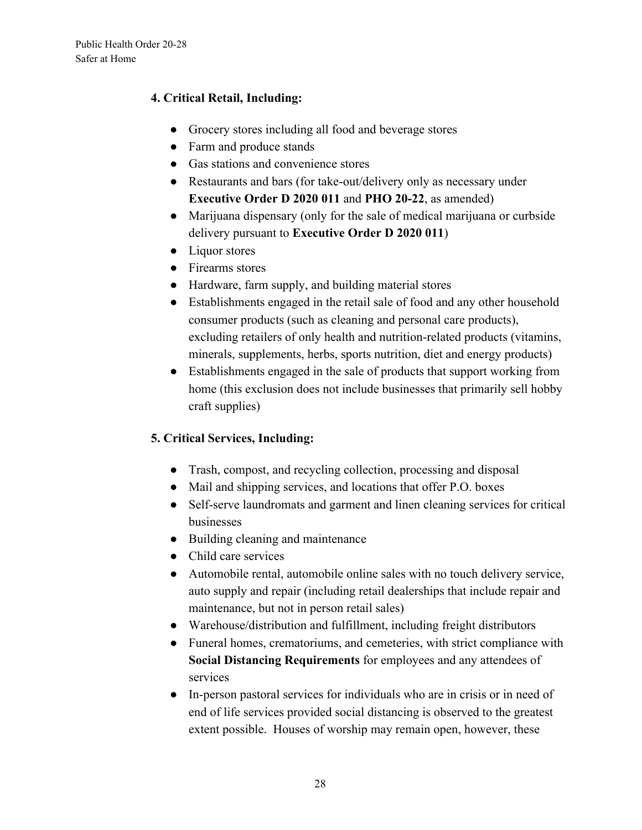### **4. Critical Retail, Including:**

- Grocery stores including all food and beverage stores
- Farm and produce stands
- Gas stations and convenience stores
- Restaurants and bars (for take-out/delivery only as necessary under **Executive Order D 2020 011** and **PHO 20-22**, as amended)
- Marijuana dispensary (only for the sale of medical marijuana or curbside delivery pursuant to **Executive Order D 2020 011**)
- Liquor stores
- Firearms stores
- Hardware, farm supply, and building material stores
- Establishments engaged in the retail sale of food and any other household consumer products (such as cleaning and personal care products), excluding retailers of only health and nutrition-related products (vitamins, minerals, supplements, herbs, sports nutrition, diet and energy products)
- Establishments engaged in the sale of products that support working from home (this exclusion does not include businesses that primarily sell hobby craft supplies)

### **5. Critical Services, Including:**

- Trash, compost, and recycling collection, processing and disposal
- Mail and shipping services, and locations that offer P.O. boxes
- Self-serve laundromats and garment and linen cleaning services for critical businesses
- Building cleaning and maintenance
- Child care services
- Automobile rental, automobile online sales with no touch delivery service, auto supply and repair (including retail dealerships that include repair and maintenance, but not in person retail sales)
- Warehouse/distribution and fulfillment, including freight distributors
- Funeral homes, crematoriums, and cemeteries, with strict compliance with **Social Distancing Requirements** for employees and any attendees of services
- In-person pastoral services for individuals who are in crisis or in need of end of life services provided social distancing is observed to the greatest extent possible. Houses of worship may remain open, however, these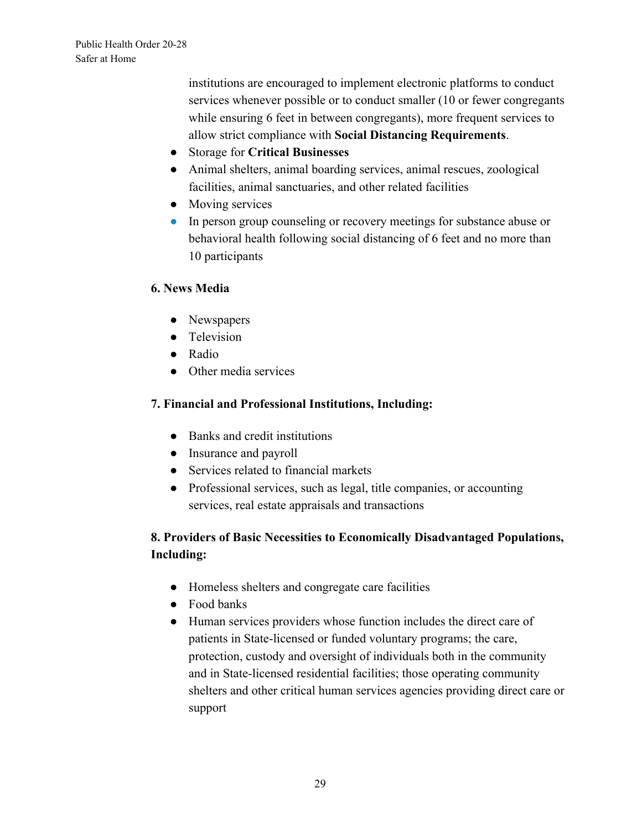institutions are encouraged to implement electronic platforms to conduct services whenever possible or to conduct smaller (10 or fewer congregants while ensuring 6 feet in between congregants), more frequent services to allow strict compliance with **Social Distancing Requirements**.

- Storage for **Critical Businesses**
- Animal shelters, animal boarding services, animal rescues, zoological facilities, animal sanctuaries, and other related facilities
- Moving services
- In person group counseling or recovery meetings for substance abuse or behavioral health following social distancing of 6 feet and no more than 10 participants

#### **6. News Media**

- Newspapers
- Television
- Radio
- Other media services

### **7. Financial and Professional Institutions, Including:**

- Banks and credit institutions
- Insurance and payroll
- Services related to financial markets
- Professional services, such as legal, title companies, or accounting services, real estate appraisals and transactions

## **8. Providers of Basic Necessities to Economically Disadvantaged Populations, Including:**

- Homeless shelters and congregate care facilities
- Food banks
- Human services providers whose function includes the direct care of patients in State-licensed or funded voluntary programs; the care, protection, custody and oversight of individuals both in the community and in State-licensed residential facilities; those operating community shelters and other critical human services agencies providing direct care or support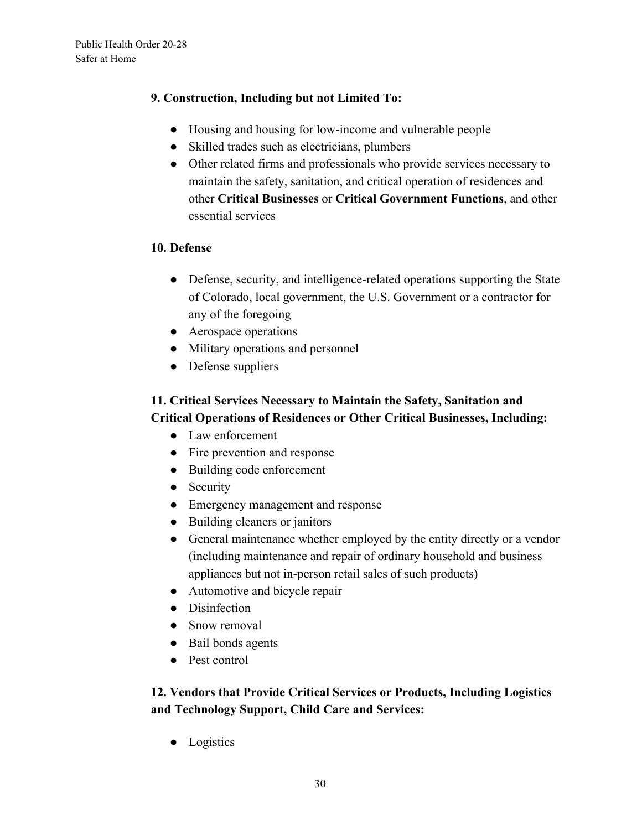### **9. Construction, Including but not Limited To:**

- Housing and housing for low-income and vulnerable people
- Skilled trades such as electricians, plumbers
- Other related firms and professionals who provide services necessary to maintain the safety, sanitation, and critical operation of residences and other **Critical Businesses** or **Critical Government Functions**, and other essential services

#### **10. Defense**

- Defense, security, and intelligence-related operations supporting the State of Colorado, local government, the U.S. Government or a contractor for any of the foregoing
- Aerospace operations
- Military operations and personnel
- Defense suppliers

## **11. Critical Services Necessary to Maintain the Safety, Sanitation and Critical Operations of Residences or Other Critical Businesses, Including:**

- Law enforcement
- Fire prevention and response
- Building code enforcement
- Security
- Emergency management and response
- Building cleaners or janitors
- General maintenance whether employed by the entity directly or a vendor (including maintenance and repair of ordinary household and business appliances but not in-person retail sales of such products)
- Automotive and bicycle repair
- Disinfection
- Snow removal
- Bail bonds agents
- Pest control

## **12. Vendors that Provide Critical Services or Products, Including Logistics and Technology Support, Child Care and Services:**

● Logistics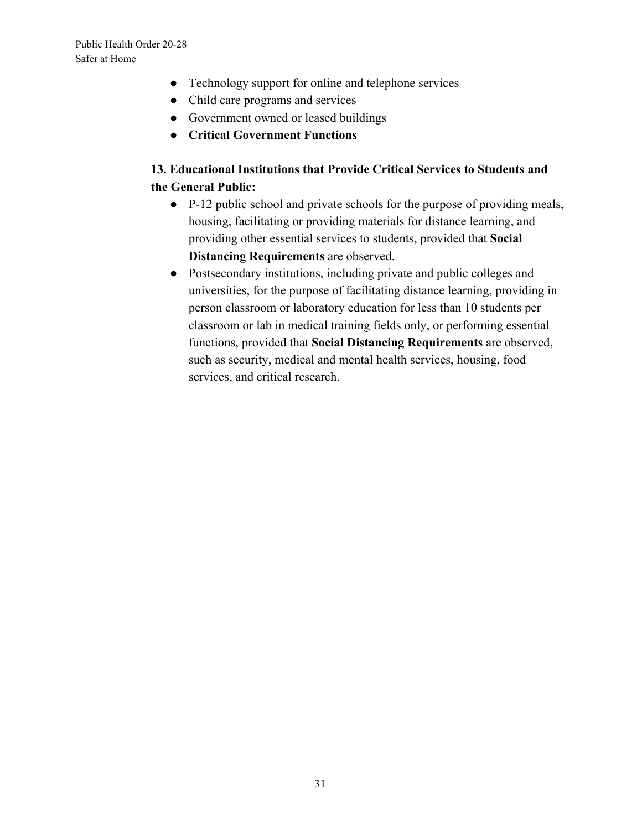- Technology support for online and telephone services
- Child care programs and services
- Government owned or leased buildings
- **● Critical Government Functions**

## **13. Educational Institutions that Provide Critical Services to Students and the General Public:**

- P-12 public school and private schools for the purpose of providing meals, housing, facilitating or providing materials for distance learning, and providing other essential services to students, provided that **Social Distancing Requirements** are observed.
- Postsecondary institutions, including private and public colleges and universities, for the purpose of facilitating distance learning, providing in person classroom or laboratory education for less than 10 students per classroom or lab in medical training fields only, or performing essential functions, provided that **Social Distancing Requirements** are observed, such as security, medical and mental health services, housing, food services, and critical research.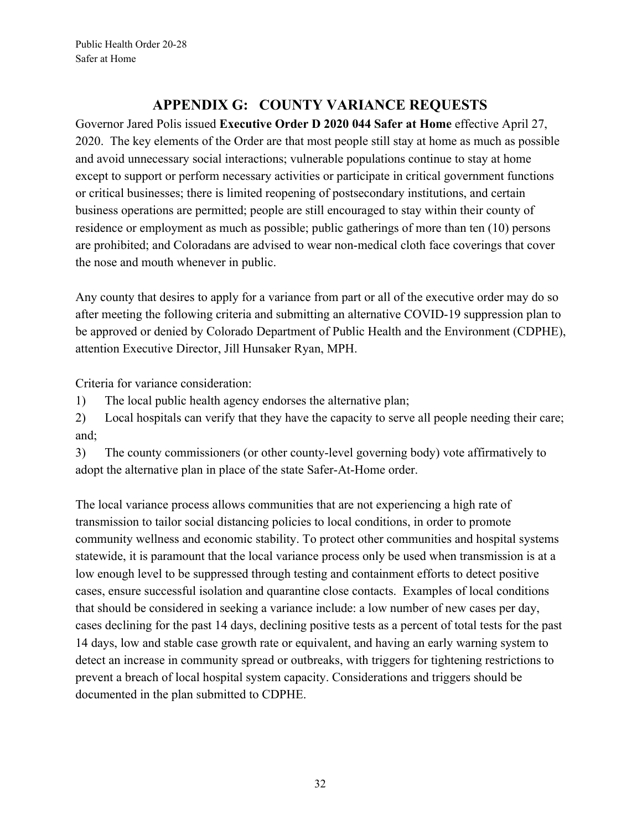## **APPENDIX G: COUNTY VARIANCE REQUESTS**

Governor Jared Polis issued **Executive Order D 2020 044 Safer at Home** effective April 27, 2020. The key elements of the Order are that most people still stay at home as much as possible and avoid unnecessary social interactions; vulnerable populations continue to stay at home except to support or perform necessary activities or participate in critical government functions or critical businesses; there is limited reopening of postsecondary institutions, and certain business operations are permitted; people are still encouraged to stay within their county of residence or employment as much as possible; public gatherings of more than ten (10) persons are prohibited; and Coloradans are advised to wear non-medical cloth face coverings that cover the nose and mouth whenever in public.

Any county that desires to apply for a variance from part or all of the executive order may do so after meeting the following criteria and submitting an alternative COVID-19 suppression plan to be approved or denied by Colorado Department of Public Health and the Environment (CDPHE), attention Executive Director, Jill Hunsaker Ryan, MPH.

Criteria for variance consideration:

1) The local public health agency endorses the alternative plan;

2) Local hospitals can verify that they have the capacity to serve all people needing their care; and;

3) The county commissioners (or other county-level governing body) vote affirmatively to adopt the alternative plan in place of the state Safer-At-Home order.

The local variance process allows communities that are not experiencing a high rate of transmission to tailor social distancing policies to local conditions, in order to promote community wellness and economic stability. To protect other communities and hospital systems statewide, it is paramount that the local variance process only be used when transmission is at a low enough level to be suppressed through testing and containment efforts to detect positive cases, ensure successful isolation and quarantine close contacts. Examples of local conditions that should be considered in seeking a variance include: a low number of new cases per day, cases declining for the past 14 days, declining positive tests as a percent of total tests for the past 14 days, low and stable case growth rate or equivalent, and having an early warning system to detect an increase in community spread or outbreaks, with triggers for tightening restrictions to prevent a breach of local hospital system capacity. Considerations and triggers should be documented in the plan submitted to CDPHE.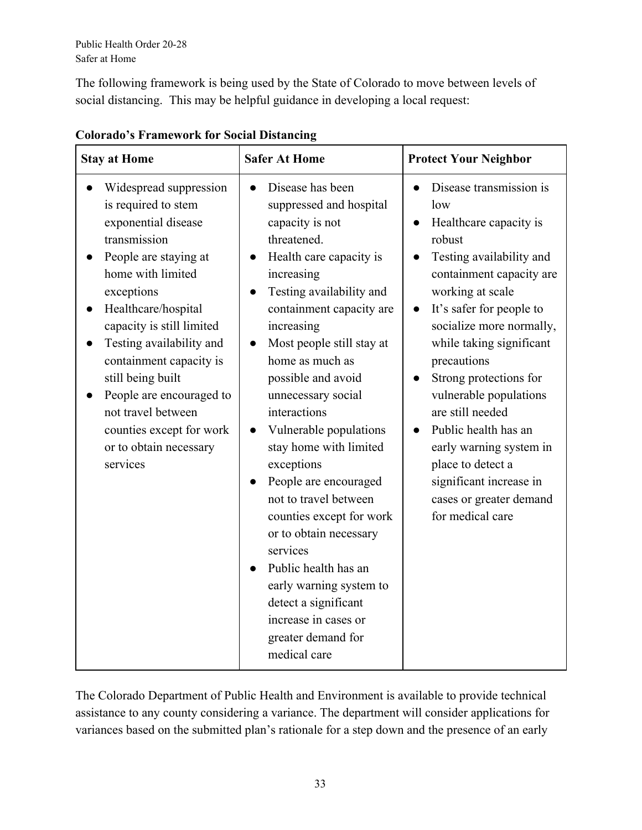The following framework is being used by the State of Colorado to move between levels of social distancing. This may be helpful guidance in developing a local request:

| <b>Stay at Home</b>                                                                                                                                                                                                                                                                                                                                                                                  | <b>Safer At Home</b>                                                                                                                                                                                                                                                                                                                                                                                                                                                                                                                                                                                                                    | <b>Protect Your Neighbor</b>                                                                                                                                                                                                                                                                                                                                                                                                                                                             |
|------------------------------------------------------------------------------------------------------------------------------------------------------------------------------------------------------------------------------------------------------------------------------------------------------------------------------------------------------------------------------------------------------|-----------------------------------------------------------------------------------------------------------------------------------------------------------------------------------------------------------------------------------------------------------------------------------------------------------------------------------------------------------------------------------------------------------------------------------------------------------------------------------------------------------------------------------------------------------------------------------------------------------------------------------------|------------------------------------------------------------------------------------------------------------------------------------------------------------------------------------------------------------------------------------------------------------------------------------------------------------------------------------------------------------------------------------------------------------------------------------------------------------------------------------------|
| Widespread suppression<br>is required to stem<br>exponential disease<br>transmission<br>People are staying at<br>home with limited<br>exceptions<br>Healthcare/hospital<br>capacity is still limited<br>Testing availability and<br>containment capacity is<br>still being built<br>People are encouraged to<br>not travel between<br>counties except for work<br>or to obtain necessary<br>services | Disease has been<br>suppressed and hospital<br>capacity is not<br>threatened.<br>Health care capacity is<br>increasing<br>Testing availability and<br>containment capacity are<br>increasing<br>Most people still stay at<br>home as much as<br>possible and avoid<br>unnecessary social<br>interactions<br>Vulnerable populations<br>stay home with limited<br>exceptions<br>People are encouraged<br>not to travel between<br>counties except for work<br>or to obtain necessary<br>services<br>Public health has an<br>early warning system to<br>detect a significant<br>increase in cases or<br>greater demand for<br>medical care | Disease transmission is<br>low<br>Healthcare capacity is<br>robust<br>Testing availability and<br>containment capacity are<br>working at scale<br>It's safer for people to<br>$\bullet$<br>socialize more normally,<br>while taking significant<br>precautions<br>Strong protections for<br>vulnerable populations<br>are still needed<br>Public health has an<br>early warning system in<br>place to detect a<br>significant increase in<br>cases or greater demand<br>for medical care |

## **Colorado's Framework for Social Distancing**

The Colorado Department of Public Health and Environment is available to provide technical assistance to any county considering a variance. The department will consider applications for variances based on the submitted plan's rationale for a step down and the presence of an early